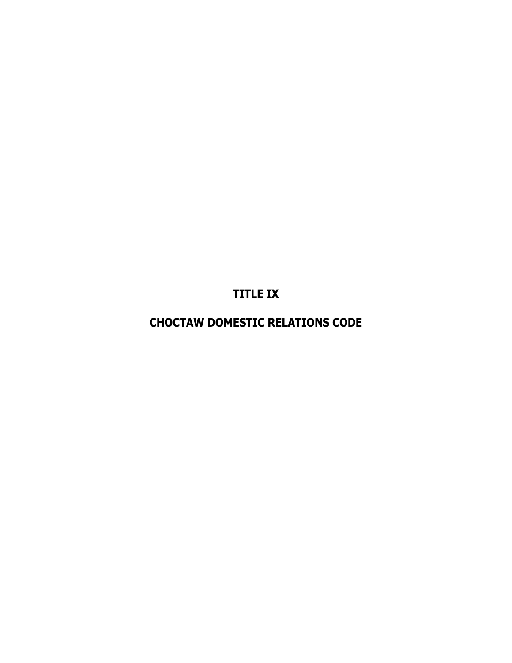**TITLE IX**

**CHOCTAW DOMESTIC RELATIONS CODE**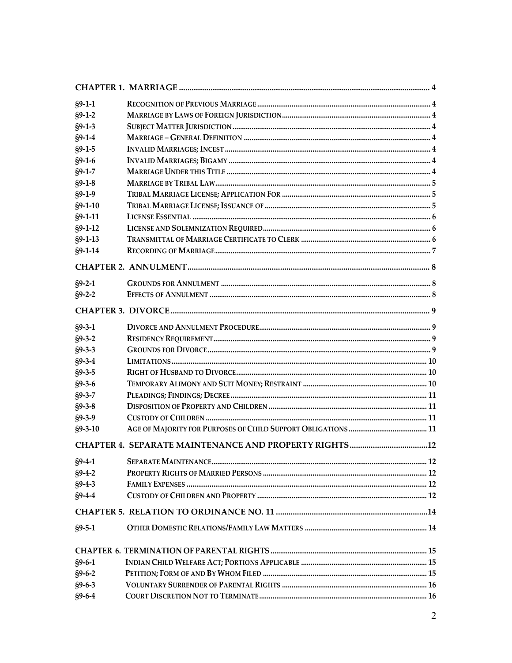| $§9-1-1$      |  |
|---------------|--|
| $§9-1-2$      |  |
| $§9-1-3$      |  |
| $§9-1-4$      |  |
| $§9-1-5$      |  |
| $§9-1-6$      |  |
| $$9-1-7$      |  |
| $§9-1-8$      |  |
| $§9-1-9$      |  |
| $§9 - 1 - 10$ |  |
| $§9 - 1 - 11$ |  |
| $§9 - 1 - 12$ |  |
| $§9 - 1 - 13$ |  |
| $§9 - 1 - 14$ |  |
|               |  |
| $§9-2-1$      |  |
| $§9 - 2 - 2$  |  |
|               |  |
| $§9 - 3 - 1$  |  |
| $§9 - 3 - 2$  |  |
| $§9 - 3 - 3$  |  |
| $§9 - 3 - 4$  |  |
| $$9-3-5$      |  |
| $§9 - 3 - 6$  |  |
| $§9 - 3 - 7$  |  |
| $§9 - 3 - 8$  |  |
| $$9-3-9$      |  |
| $$9-3-10$     |  |
|               |  |
| $§9-4-1$      |  |
| $§9-4-2$      |  |
| $$9-4-3$      |  |
| $§9-4-4$      |  |
|               |  |
| $$9-5-1$      |  |
|               |  |
| $§9-6-1$      |  |
| $$9-6-2$      |  |
| $§9 - 6 - 3$  |  |
| $§9-6-4$      |  |
|               |  |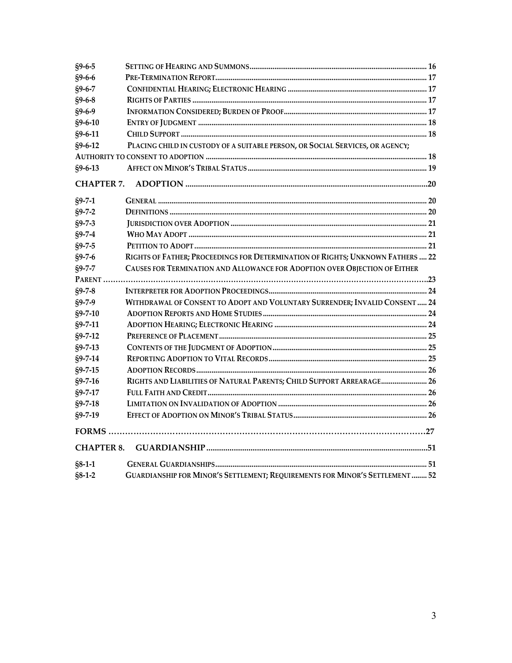| $§9 - 6 - 5$      |                                                                                |  |
|-------------------|--------------------------------------------------------------------------------|--|
| $$9-6-6$          |                                                                                |  |
| $$9-6-7$          |                                                                                |  |
| $$9-6-8$          |                                                                                |  |
| $§9 - 6 - 9$      |                                                                                |  |
| $$9-6-10$         |                                                                                |  |
| $§9 - 6 - 11$     |                                                                                |  |
| $§9 - 6 - 12$     | PLACING CHILD IN CUSTODY OF A SUITABLE PERSON, OR SOCIAL SERVICES, OR AGENCY;  |  |
|                   |                                                                                |  |
| $$9-6-13$         |                                                                                |  |
| <b>CHAPTER 7.</b> |                                                                                |  |
| $§9 - 7 - 1$      |                                                                                |  |
| $$9 - 7 - 2$      |                                                                                |  |
| $§9 - 7 - 3$      |                                                                                |  |
| $§9 - 7 - 4$      |                                                                                |  |
| $$9-7-5$          |                                                                                |  |
| $§9 - 7 - 6$      | RIGHTS OF FATHER; PROCEEDINGS FOR DETERMINATION OF RIGHTS; UNKNOWN FATHERS  22 |  |
| $$9 - 7 - 7$      | CAUSES FOR TERMINATION AND ALLOWANCE FOR ADOPTION OVER OBJECTION OF EITHER     |  |
|                   |                                                                                |  |
| $$9-7-8$          |                                                                                |  |
| $$9-7-9$          | WITHDRAWAL OF CONSENT TO ADOPT AND VOLUNTARY SURRENDER; INVALID CONSENT  24    |  |
| $$9 - 7 - 10$     |                                                                                |  |
| $$9 - 7 - 11$     |                                                                                |  |
| $$9 - 7 - 12$     |                                                                                |  |
| $$9 - 7 - 13$     |                                                                                |  |
| $$9 - 7 - 14$     |                                                                                |  |
| $$9 - 7 - 15$     |                                                                                |  |
| $§9 - 7 - 16$     | RIGHTS AND LIABILITIES OF NATURAL PARENTS; CHILD SUPPORT ARREARAGE 26          |  |
| $$9 - 7 - 17$     |                                                                                |  |
| $$9-7-18$         |                                                                                |  |
| $§9 - 7 - 19$     |                                                                                |  |
|                   |                                                                                |  |
| <b>CHAPTER 8.</b> |                                                                                |  |
| $$8-1-1$          |                                                                                |  |
| $§8 - 1 - 2$      | GUARDIANSHIP FOR MINOR'S SETTLEMENT; REQUIREMENTS FOR MINOR'S SETTLEMENT  52   |  |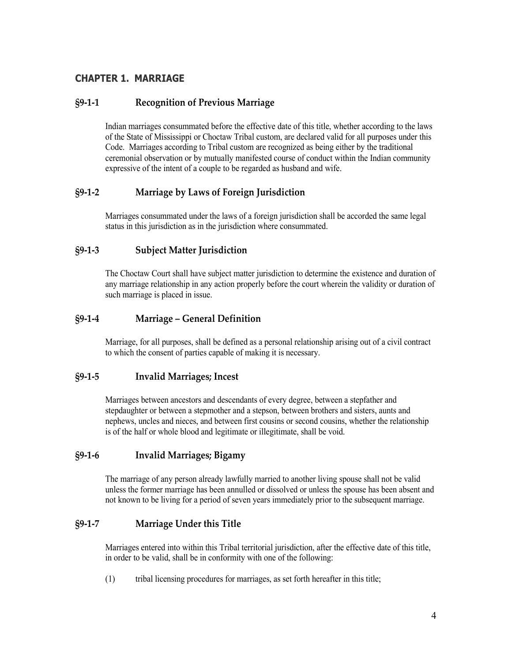# <span id="page-3-0"></span>**CHAPTER 1. MARRIAGE**

# <span id="page-3-1"></span>**§9-1-1 Recognition of Previous Marriage**

Indian marriages consummated before the effective date of this title, whether according to the laws of the State of Mississippi or Choctaw Tribal custom, are declared valid for all purposes under this Code. Marriages according to Tribal custom are recognized as being either by the traditional ceremonial observation or by mutually manifested course of conduct within the Indian community expressive of the intent of a couple to be regarded as husband and wife.

# <span id="page-3-2"></span>**§9-1-2 Marriage by Laws of Foreign Jurisdiction**

Marriages consummated under the laws of a foreign jurisdiction shall be accorded the same legal status in this jurisdiction as in the jurisdiction where consummated.

## <span id="page-3-3"></span>**§9-1-3 Subject Matter Jurisdiction**

The Choctaw Court shall have subject matter jurisdiction to determine the existence and duration of any marriage relationship in any action properly before the court wherein the validity or duration of such marriage is placed in issue.

#### <span id="page-3-4"></span>**§9-1-4 Marriage – General Definition**

Marriage, for all purposes, shall be defined as a personal relationship arising out of a civil contract to which the consent of parties capable of making it is necessary.

#### <span id="page-3-5"></span>**§9-1-5 Invalid Marriages; Incest**

Marriages between ancestors and descendants of every degree, between a stepfather and stepdaughter or between a stepmother and a stepson, between brothers and sisters, aunts and nephews, uncles and nieces, and between first cousins or second cousins, whether the relationship is of the half or whole blood and legitimate or illegitimate, shall be void.

## <span id="page-3-6"></span>**§9-1-6 Invalid Marriages; Bigamy**

The marriage of any person already lawfully married to another living spouse shall not be valid unless the former marriage has been annulled or dissolved or unless the spouse has been absent and not known to be living for a period of seven years immediately prior to the subsequent marriage.

## <span id="page-3-7"></span>**§9-1-7 Marriage Under this Title**

Marriages entered into within this Tribal territorial jurisdiction, after the effective date of this title, in order to be valid, shall be in conformity with one of the following:

(1) tribal licensing procedures for marriages, as set forth hereafter in this title;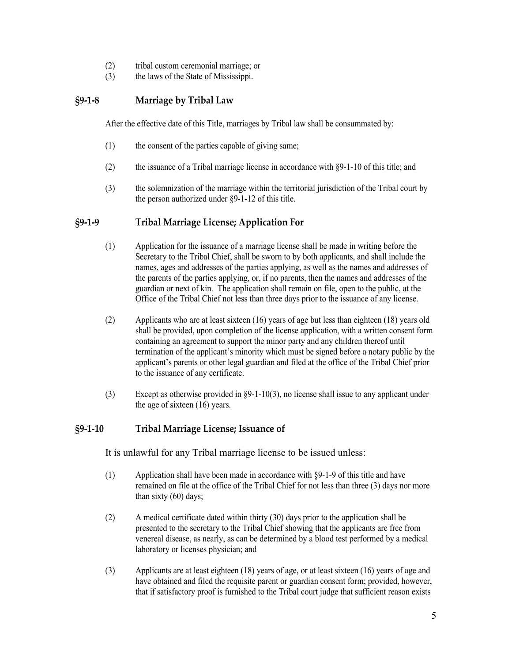- (2) tribal custom ceremonial marriage; or
- (3) the laws of the State of Mississippi.

# <span id="page-4-0"></span>**§9-1-8 Marriage by Tribal Law**

After the effective date of this Title, marriages by Tribal law shall be consummated by:

- (1) the consent of the parties capable of giving same;
- (2) the issuance of a Tribal marriage license in accordance with §9-1-10 of this title; and
- (3) the solemnization of the marriage within the territorial jurisdiction of the Tribal court by the person authorized under §9-1-12 of this title.

## <span id="page-4-1"></span>**§9-1-9 Tribal Marriage License; Application For**

- (1) Application for the issuance of a marriage license shall be made in writing before the Secretary to the Tribal Chief, shall be sworn to by both applicants, and shall include the names, ages and addresses of the parties applying, as well as the names and addresses of the parents of the parties applying, or, if no parents, then the names and addresses of the guardian or next of kin. The application shall remain on file, open to the public, at the Office of the Tribal Chief not less than three days prior to the issuance of any license.
- (2) Applicants who are at least sixteen (16) years of age but less than eighteen (18) years old shall be provided, upon completion of the license application, with a written consent form containing an agreement to support the minor party and any children thereof until termination of the applicant's minority which must be signed before a notary public by the applicant's parents or other legal guardian and filed at the office of the Tribal Chief prior to the issuance of any certificate.
- (3) Except as otherwise provided in §9-1-10(3), no license shall issue to any applicant under the age of sixteen (16) years.

# <span id="page-4-2"></span>**§9-1-10 Tribal Marriage License; Issuance of**

It is unlawful for any Tribal marriage license to be issued unless:

- (1) Application shall have been made in accordance with §9-1-9 of this title and have remained on file at the office of the Tribal Chief for not less than three (3) days nor more than sixty (60) days;
- (2) A medical certificate dated within thirty (30) days prior to the application shall be presented to the secretary to the Tribal Chief showing that the applicants are free from venereal disease, as nearly, as can be determined by a blood test performed by a medical laboratory or licenses physician; and
- (3) Applicants are at least eighteen (18) years of age, or at least sixteen (16) years of age and have obtained and filed the requisite parent or guardian consent form; provided, however, that if satisfactory proof is furnished to the Tribal court judge that sufficient reason exists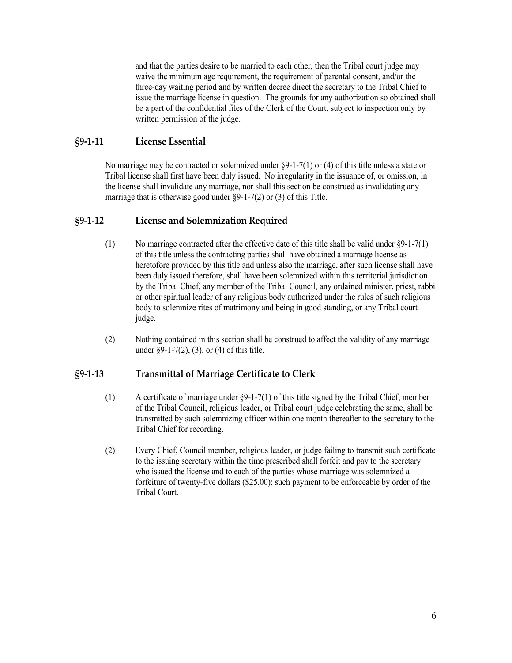and that the parties desire to be married to each other, then the Tribal court judge may waive the minimum age requirement, the requirement of parental consent, and/or the three-day waiting period and by written decree direct the secretary to the Tribal Chief to issue the marriage license in question. The grounds for any authorization so obtained shall be a part of the confidential files of the Clerk of the Court, subject to inspection only by written permission of the judge.

## <span id="page-5-0"></span>**§9-1-11 License Essential**

No marriage may be contracted or solemnized under §9-1-7(1) or (4) of this title unless a state or Tribal license shall first have been duly issued. No irregularity in the issuance of, or omission, in the license shall invalidate any marriage, nor shall this section be construed as invalidating any marriage that is otherwise good under §9-1-7(2) or (3) of this Title.

# <span id="page-5-1"></span>**§9-1-12 License and Solemnization Required**

- (1) No marriage contracted after the effective date of this title shall be valid under §9-1-7(1) of this title unless the contracting parties shall have obtained a marriage license as heretofore provided by this title and unless also the marriage, after such license shall have been duly issued therefore, shall have been solemnized within this territorial jurisdiction by the Tribal Chief, any member of the Tribal Council, any ordained minister, priest, rabbi or other spiritual leader of any religious body authorized under the rules of such religious body to solemnize rites of matrimony and being in good standing, or any Tribal court judge.
- (2) Nothing contained in this section shall be construed to affect the validity of any marriage under §9-1-7(2), (3), or (4) of this title.

## <span id="page-5-2"></span>**§9-1-13 Transmittal of Marriage Certificate to Clerk**

- (1) A certificate of marriage under §9-1-7(1) of this title signed by the Tribal Chief, member of the Tribal Council, religious leader, or Tribal court judge celebrating the same, shall be transmitted by such solemnizing officer within one month thereafter to the secretary to the Tribal Chief for recording.
- (2) Every Chief, Council member, religious leader, or judge failing to transmit such certificate to the issuing secretary within the time prescribed shall forfeit and pay to the secretary who issued the license and to each of the parties whose marriage was solemnized a forfeiture of twenty-five dollars (\$25.00); such payment to be enforceable by order of the Tribal Court.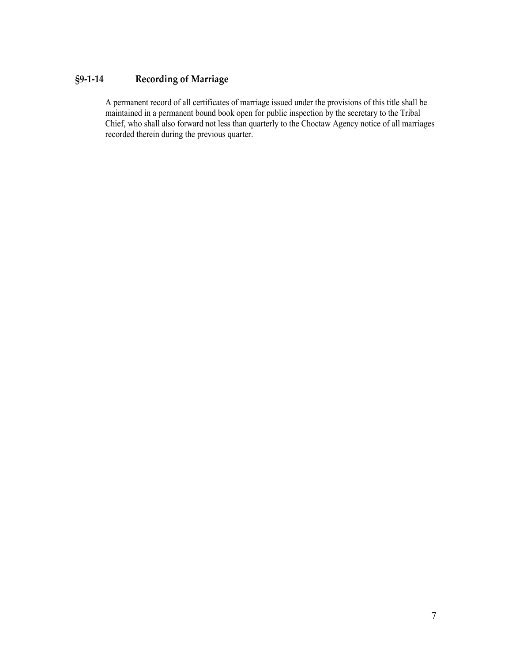# <span id="page-6-0"></span>**§9-1-14 Recording of Marriage**

A permanent record of all certificates of marriage issued under the provisions of this title shall be maintained in a permanent bound book open for public inspection by the secretary to the Tribal Chief, who shall also forward not less than quarterly to the Choctaw Agency notice of all marriages recorded therein during the previous quarter.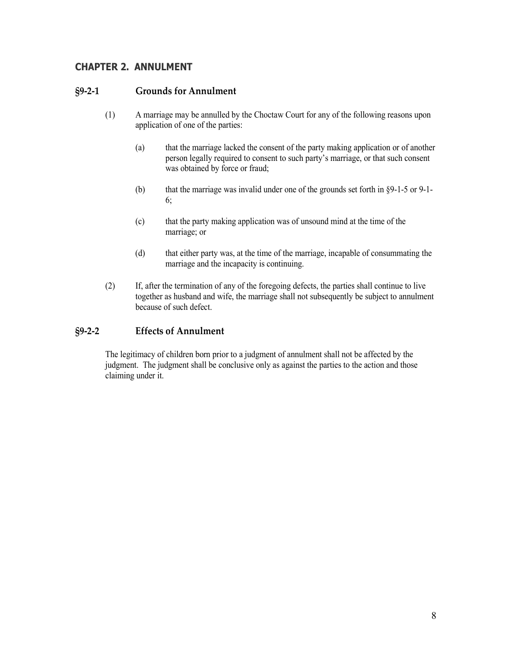# <span id="page-7-0"></span>**CHAPTER 2. ANNULMENT**

#### <span id="page-7-1"></span>**§9-2-1 Grounds for Annulment**

- (1) A marriage may be annulled by the Choctaw Court for any of the following reasons upon application of one of the parties:
	- (a) that the marriage lacked the consent of the party making application or of another person legally required to consent to such party's marriage, or that such consent was obtained by force or fraud;
	- (b) that the marriage was invalid under one of the grounds set forth in §9-1-5 or 9-1- 6;
	- (c) that the party making application was of unsound mind at the time of the marriage; or
	- (d) that either party was, at the time of the marriage, incapable of consummating the marriage and the incapacity is continuing.
- (2) If, after the termination of any of the foregoing defects, the parties shall continue to live together as husband and wife, the marriage shall not subsequently be subject to annulment because of such defect.

## <span id="page-7-2"></span>**§9-2-2 Effects of Annulment**

The legitimacy of children born prior to a judgment of annulment shall not be affected by the judgment. The judgment shall be conclusive only as against the parties to the action and those claiming under it.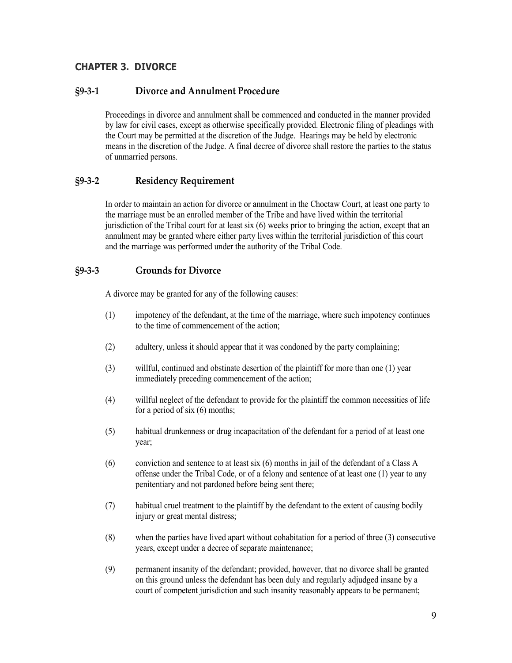# <span id="page-8-0"></span>**CHAPTER 3. DIVORCE**

# <span id="page-8-1"></span>**§9-3-1 Divorce and Annulment Procedure**

Proceedings in divorce and annulment shall be commenced and conducted in the manner provided by law for civil cases, except as otherwise specifically provided. Electronic filing of pleadings with the Court may be permitted at the discretion of the Judge. Hearings may be held by electronic means in the discretion of the Judge. A final decree of divorce shall restore the parties to the status of unmarried persons.

## <span id="page-8-2"></span>**§9-3-2 Residency Requirement**

In order to maintain an action for divorce or annulment in the Choctaw Court, at least one party to the marriage must be an enrolled member of the Tribe and have lived within the territorial jurisdiction of the Tribal court for at least six (6) weeks prior to bringing the action, except that an annulment may be granted where either party lives within the territorial jurisdiction of this court and the marriage was performed under the authority of the Tribal Code.

#### <span id="page-8-3"></span>**§9-3-3 Grounds for Divorce**

A divorce may be granted for any of the following causes:

- (1) impotency of the defendant, at the time of the marriage, where such impotency continues to the time of commencement of the action;
- (2) adultery, unless it should appear that it was condoned by the party complaining;
- (3) willful, continued and obstinate desertion of the plaintiff for more than one (1) year immediately preceding commencement of the action;
- (4) willful neglect of the defendant to provide for the plaintiff the common necessities of life for a period of six (6) months;
- (5) habitual drunkenness or drug incapacitation of the defendant for a period of at least one year;
- (6) conviction and sentence to at least six (6) months in jail of the defendant of a Class A offense under the Tribal Code, or of a felony and sentence of at least one (1) year to any penitentiary and not pardoned before being sent there;
- (7) habitual cruel treatment to the plaintiff by the defendant to the extent of causing bodily injury or great mental distress;
- (8) when the parties have lived apart without cohabitation for a period of three (3) consecutive years, except under a decree of separate maintenance;
- (9) permanent insanity of the defendant; provided, however, that no divorce shall be granted on this ground unless the defendant has been duly and regularly adjudged insane by a court of competent jurisdiction and such insanity reasonably appears to be permanent;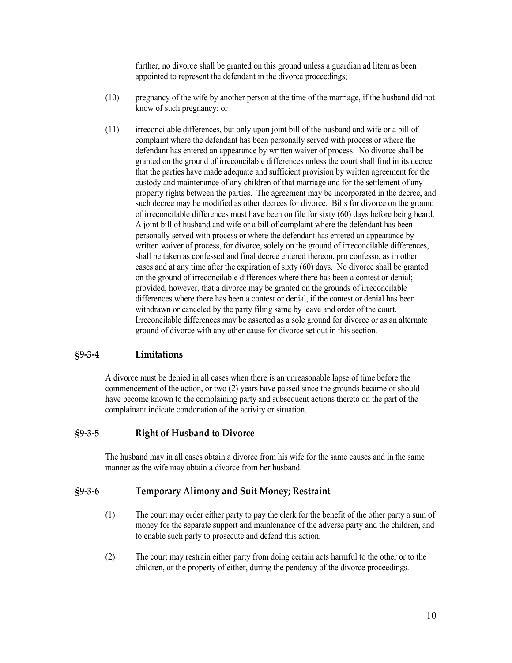further, no divorce shall be granted on this ground unless a guardian ad litem as been appointed to represent the defendant in the divorce proceedings;

- (10) pregnancy of the wife by another person at the time of the marriage, if the husband did not know of such pregnancy; or
- (11) irreconcilable differences, but only upon joint bill of the husband and wife or a bill of complaint where the defendant has been personally served with process or where the defendant has entered an appearance by written waiver of process. No divorce shall be granted on the ground of irreconcilable differences unless the court shall find in its decree that the parties have made adequate and sufficient provision by written agreement for the custody and maintenance of any children of that marriage and for the settlement of any property rights between the parties. The agreement may be incorporated in the decree, and such decree may be modified as other decrees for divorce. Bills for divorce on the ground of irreconcilable differences must have been on file for sixty (60) days before being heard. A joint bill of husband and wife or a bill of complaint where the defendant has been personally served with process or where the defendant has entered an appearance by written waiver of process, for divorce, solely on the ground of irreconcilable differences, shall be taken as confessed and final decree entered thereon, pro confesso, as in other cases and at any time after the expiration of sixty (60) days. No divorce shall be granted on the ground of irreconcilable differences where there has been a contest or denial; provided, however, that a divorce may be granted on the grounds of irreconcilable differences where there has been a contest or denial, if the contest or denial has been withdrawn or canceled by the party filing same by leave and order of the court. Irreconcilable differences may be asserted as a sole ground for divorce or as an alternate ground of divorce with any other cause for divorce set out in this section.

# <span id="page-9-0"></span>**§9-3-4 Limitations**

A divorce must be denied in all cases when there is an unreasonable lapse of time before the commencement of the action, or two (2) years have passed since the grounds became or should have become known to the complaining party and subsequent actions thereto on the part of the complainant indicate condonation of the activity or situation.

#### <span id="page-9-1"></span>**§9-3-5 Right of Husband to Divorce**

The husband may in all cases obtain a divorce from his wife for the same causes and in the same manner as the wife may obtain a divorce from her husband.

#### <span id="page-9-2"></span>**§9-3-6 Temporary Alimony and Suit Money; Restraint**

- (1) The court may order either party to pay the clerk for the benefit of the other party a sum of money for the separate support and maintenance of the adverse party and the children, and to enable such party to prosecute and defend this action.
- (2) The court may restrain either party from doing certain acts harmful to the other or to the children, or the property of either, during the pendency of the divorce proceedings.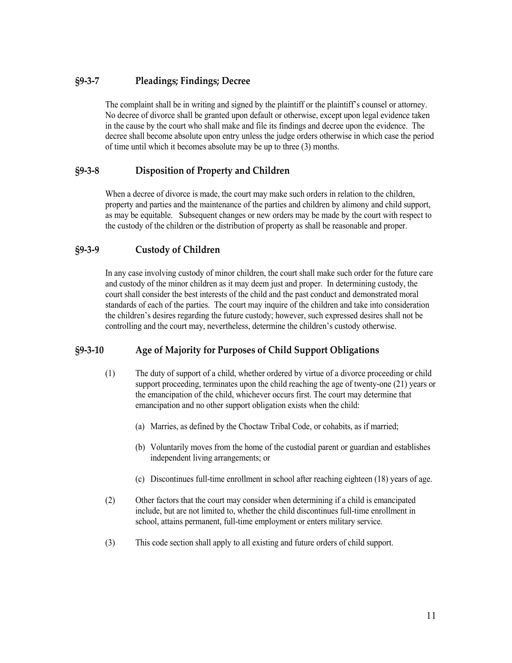# <span id="page-10-0"></span>**§9-3-7 Pleadings; Findings; Decree**

The complaint shall be in writing and signed by the plaintiff or the plaintiff's counsel or attorney. No decree of divorce shall be granted upon default or otherwise, except upon legal evidence taken in the cause by the court who shall make and file its findings and decree upon the evidence. The decree shall become absolute upon entry unless the judge orders otherwise in which case the period of time until which it becomes absolute may be up to three (3) months.

# <span id="page-10-1"></span>**§9-3-8 Disposition of Property and Children**

When a decree of divorce is made, the court may make such orders in relation to the children, property and parties and the maintenance of the parties and children by alimony and child support, as may be equitable. Subsequent changes or new orders may be made by the court with respect to the custody of the children or the distribution of property as shall be reasonable and proper.

## <span id="page-10-2"></span>**§9-3-9 Custody of Children**

In any case involving custody of minor children, the court shall make such order for the future care and custody of the minor children as it may deem just and proper. In determining custody, the court shall consider the best interests of the child and the past conduct and demonstrated moral standards of each of the parties. The court may inquire of the children and take into consideration the children's desires regarding the future custody; however, such expressed desires shall not be controlling and the court may, nevertheless, determine the children's custody otherwise.

# <span id="page-10-3"></span>**§9-3-10 Age of Majority for Purposes of Child Support Obligations**

- (1) The duty of support of a child, whether ordered by virtue of a divorce proceeding or child support proceeding, terminates upon the child reaching the age of twenty-one (21) years or the emancipation of the child, whichever occurs first. The court may determine that emancipation and no other support obligation exists when the child:
	- (a) Marries, as defined by the Choctaw Tribal Code, or cohabits, as if married;
	- (b) Voluntarily moves from the home of the custodial parent or guardian and establishes independent living arrangements; or
	- (c) Discontinues full-time enrollment in school after reaching eighteen (18) years of age.
- (2) Other factors that the court may consider when determining if a child is emancipated include, but are not limited to, whether the child discontinues full-time enrollment in school, attains permanent, full-time employment or enters military service.
- (3) This code section shall apply to all existing and future orders of child support.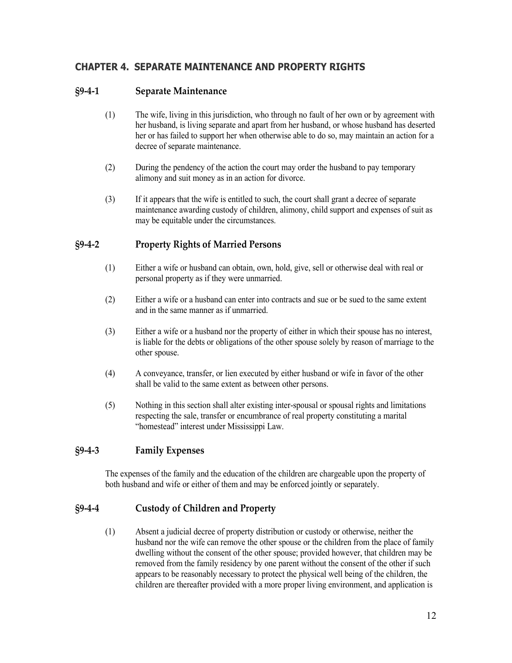# <span id="page-11-0"></span>**CHAPTER 4. SEPARATE MAINTENANCE AND PROPERTY RIGHTS**

# <span id="page-11-1"></span>**§9-4-1 Separate Maintenance**

- (1) The wife, living in this jurisdiction, who through no fault of her own or by agreement with her husband, is living separate and apart from her husband, or whose husband has deserted her or has failed to support her when otherwise able to do so, may maintain an action for a decree of separate maintenance.
- (2) During the pendency of the action the court may order the husband to pay temporary alimony and suit money as in an action for divorce.
- (3) If it appears that the wife is entitled to such, the court shall grant a decree of separate maintenance awarding custody of children, alimony, child support and expenses of suit as may be equitable under the circumstances.

# <span id="page-11-2"></span>**§9-4-2 Property Rights of Married Persons**

- (1) Either a wife or husband can obtain, own, hold, give, sell or otherwise deal with real or personal property as if they were unmarried.
- (2) Either a wife or a husband can enter into contracts and sue or be sued to the same extent and in the same manner as if unmarried.
- (3) Either a wife or a husband nor the property of either in which their spouse has no interest, is liable for the debts or obligations of the other spouse solely by reason of marriage to the other spouse.
- (4) A conveyance, transfer, or lien executed by either husband or wife in favor of the other shall be valid to the same extent as between other persons.
- (5) Nothing in this section shall alter existing inter-spousal or spousal rights and limitations respecting the sale, transfer or encumbrance of real property constituting a marital "homestead" interest under Mississippi Law.

## <span id="page-11-3"></span>**§9-4-3 Family Expenses**

The expenses of the family and the education of the children are chargeable upon the property of both husband and wife or either of them and may be enforced jointly or separately.

## <span id="page-11-4"></span>**§9-4-4 Custody of Children and Property**

(1) Absent a judicial decree of property distribution or custody or otherwise, neither the husband nor the wife can remove the other spouse or the children from the place of family dwelling without the consent of the other spouse; provided however, that children may be removed from the family residency by one parent without the consent of the other if such appears to be reasonably necessary to protect the physical well being of the children, the children are thereafter provided with a more proper living environment, and application is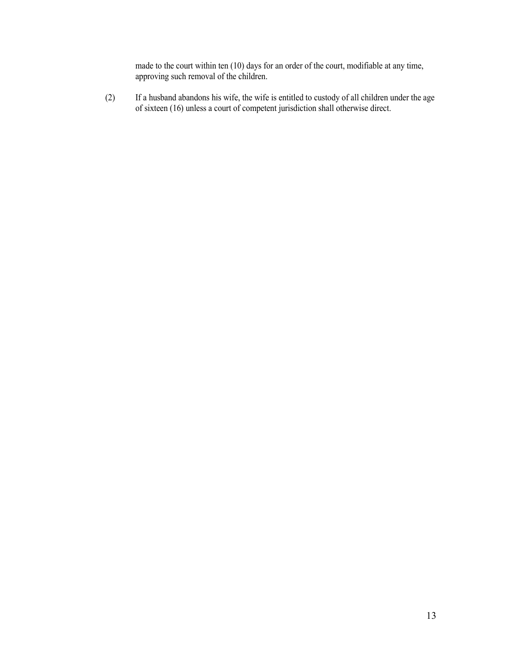made to the court within ten (10) days for an order of the court, modifiable at any time, approving such removal of the children.

(2) If a husband abandons his wife, the wife is entitled to custody of all children under the age of sixteen (16) unless a court of competent jurisdiction shall otherwise direct.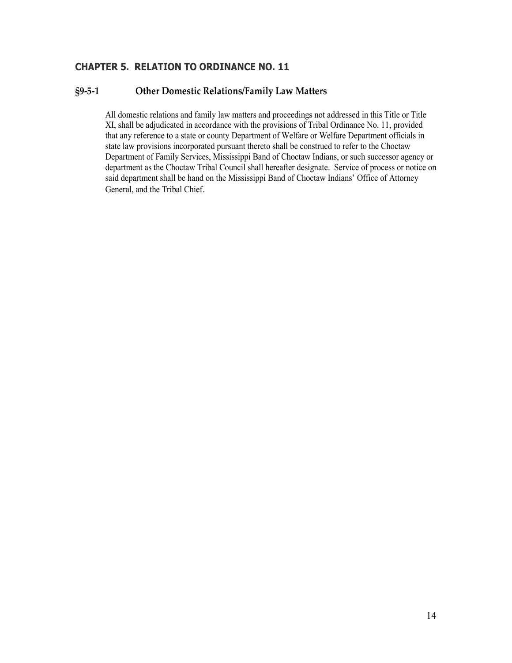# <span id="page-13-0"></span>**CHAPTER 5. RELATION TO ORDINANCE NO. 11**

# <span id="page-13-1"></span>**§9-5-1 Other Domestic Relations/Family Law Matters**

All domestic relations and family law matters and proceedings not addressed in this Title or Title XI, shall be adjudicated in accordance with the provisions of Tribal Ordinance No. 11, provided that any reference to a state or county Department of Welfare or Welfare Department officials in state law provisions incorporated pursuant thereto shall be construed to refer to the Choctaw Department of Family Services, Mississippi Band of Choctaw Indians, or such successor agency or department as the Choctaw Tribal Council shall hereafter designate. Service of process or notice on said department shall be hand on the Mississippi Band of Choctaw Indians' Office of Attorney General, and the Tribal Chief.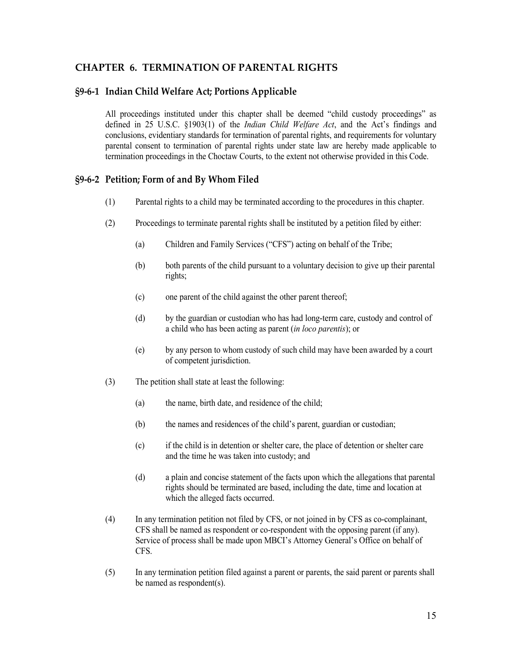# <span id="page-14-0"></span>**CHAPTER 6. TERMINATION OF PARENTAL RIGHTS**

#### <span id="page-14-1"></span>**§9-6-1 Indian Child Welfare Act; Portions Applicable**

All proceedings instituted under this chapter shall be deemed "child custody proceedings" as defined in 25 U.S.C. §1903(1) of the *Indian Child Welfare Act*, and the Act's findings and conclusions, evidentiary standards for termination of parental rights, and requirements for voluntary parental consent to termination of parental rights under state law are hereby made applicable to termination proceedings in the Choctaw Courts, to the extent not otherwise provided in this Code.

#### <span id="page-14-2"></span>**§9-6-2 Petition; Form of and By Whom Filed**

- (1) Parental rights to a child may be terminated according to the procedures in this chapter.
- (2) Proceedings to terminate parental rights shall be instituted by a petition filed by either:
	- (a) Children and Family Services ("CFS") acting on behalf of the Tribe;
	- (b) both parents of the child pursuant to a voluntary decision to give up their parental rights;
	- (c) one parent of the child against the other parent thereof;
	- (d) by the guardian or custodian who has had long-term care, custody and control of a child who has been acting as parent (*in loco parentis*); or
	- (e) by any person to whom custody of such child may have been awarded by a court of competent jurisdiction.
- (3) The petition shall state at least the following:
	- (a) the name, birth date, and residence of the child;
	- (b) the names and residences of the child's parent, guardian or custodian;
	- (c) if the child is in detention or shelter care, the place of detention or shelter care and the time he was taken into custody; and
	- (d) a plain and concise statement of the facts upon which the allegations that parental rights should be terminated are based, including the date, time and location at which the alleged facts occurred.
- (4) In any termination petition not filed by CFS, or not joined in by CFS as co-complainant, CFS shall be named as respondent or co-respondent with the opposing parent (if any). Service of process shall be made upon MBCI's Attorney General's Office on behalf of CFS.
- (5) In any termination petition filed against a parent or parents, the said parent or parents shall be named as respondent(s).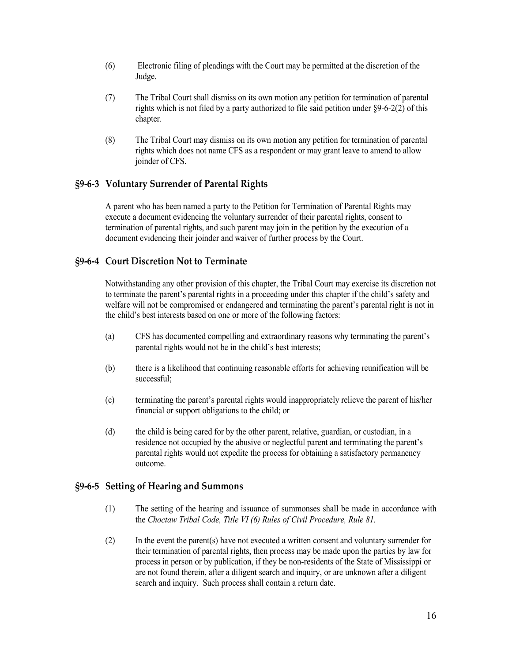- (6) Electronic filing of pleadings with the Court may be permitted at the discretion of the Judge.
- (7) The Tribal Court shall dismiss on its own motion any petition for termination of parental rights which is not filed by a party authorized to file said petition under §9-6-2(2) of this chapter.
- (8) The Tribal Court may dismiss on its own motion any petition for termination of parental rights which does not name CFS as a respondent or may grant leave to amend to allow joinder of CFS.

# <span id="page-15-0"></span>**§9-6-3 Voluntary Surrender of Parental Rights**

A parent who has been named a party to the Petition for Termination of Parental Rights may execute a document evidencing the voluntary surrender of their parental rights, consent to termination of parental rights, and such parent may join in the petition by the execution of a document evidencing their joinder and waiver of further process by the Court.

# <span id="page-15-1"></span>**§9-6-4 Court Discretion Not to Terminate**

Notwithstanding any other provision of this chapter, the Tribal Court may exercise its discretion not to terminate the parent's parental rights in a proceeding under this chapter if the child's safety and welfare will not be compromised or endangered and terminating the parent's parental right is not in the child's best interests based on one or more of the following factors:

- (a) CFS has documented compelling and extraordinary reasons why terminating the parent's parental rights would not be in the child's best interests;
- (b) there is a likelihood that continuing reasonable efforts for achieving reunification will be successful;
- (c) terminating the parent's parental rights would inappropriately relieve the parent of his/her financial or support obligations to the child; or
- (d) the child is being cared for by the other parent, relative, guardian, or custodian, in a residence not occupied by the abusive or neglectful parent and terminating the parent's parental rights would not expedite the process for obtaining a satisfactory permanency outcome.

## <span id="page-15-2"></span>**§9-6-5 Setting of Hearing and Summons**

- (1) The setting of the hearing and issuance of summonses shall be made in accordance with the *Choctaw Tribal Code, Title VI (6) Rules of Civil Procedure, Rule 81.*
- (2) In the event the parent(s) have not executed a written consent and voluntary surrender for their termination of parental rights, then process may be made upon the parties by law for process in person or by publication, if they be non-residents of the State of Mississippi or are not found therein, after a diligent search and inquiry, or are unknown after a diligent search and inquiry. Such process shall contain a return date.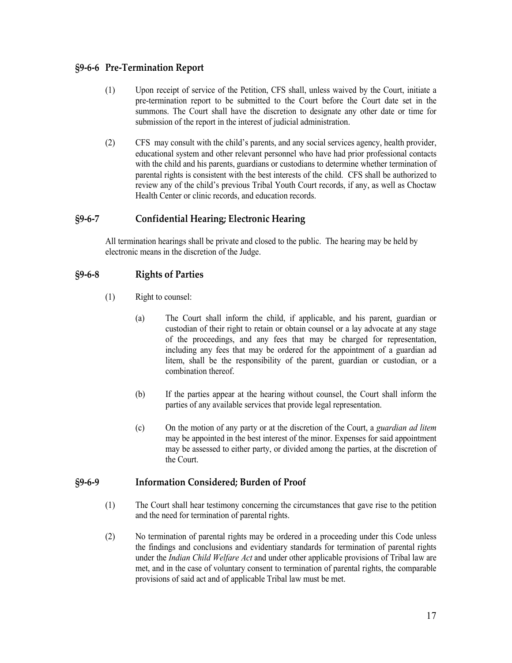# <span id="page-16-0"></span>**§9-6-6 Pre-Termination Report**

- (1) Upon receipt of service of the Petition, CFS shall, unless waived by the Court, initiate a pre-termination report to be submitted to the Court before the Court date set in the summons. The Court shall have the discretion to designate any other date or time for submission of the report in the interest of judicial administration.
- (2) CFS may consult with the child's parents, and any social services agency, health provider, educational system and other relevant personnel who have had prior professional contacts with the child and his parents, guardians or custodians to determine whether termination of parental rights is consistent with the best interests of the child. CFS shall be authorized to review any of the child's previous Tribal Youth Court records, if any, as well as Choctaw Health Center or clinic records, and education records.

# <span id="page-16-1"></span>**§9-6-7 Confidential Hearing; Electronic Hearing**

All termination hearings shall be private and closed to the public. The hearing may be held by electronic means in the discretion of the Judge.

## <span id="page-16-2"></span>**§9-6-8 Rights of Parties**

- (1) Right to counsel:
	- (a) The Court shall inform the child, if applicable, and his parent, guardian or custodian of their right to retain or obtain counsel or a lay advocate at any stage of the proceedings, and any fees that may be charged for representation, including any fees that may be ordered for the appointment of a guardian ad litem, shall be the responsibility of the parent, guardian or custodian, or a combination thereof.
	- (b) If the parties appear at the hearing without counsel, the Court shall inform the parties of any available services that provide legal representation.
	- (c) On the motion of any party or at the discretion of the Court, a *guardian ad litem* may be appointed in the best interest of the minor. Expenses for said appointment may be assessed to either party, or divided among the parties, at the discretion of the Court.

## <span id="page-16-3"></span>**§9-6-9 Information Considered; Burden of Proof**

- (1) The Court shall hear testimony concerning the circumstances that gave rise to the petition and the need for termination of parental rights.
- (2) No termination of parental rights may be ordered in a proceeding under this Code unless the findings and conclusions and evidentiary standards for termination of parental rights under the *Indian Child Welfare Act* and under other applicable provisions of Tribal law are met, and in the case of voluntary consent to termination of parental rights, the comparable provisions of said act and of applicable Tribal law must be met.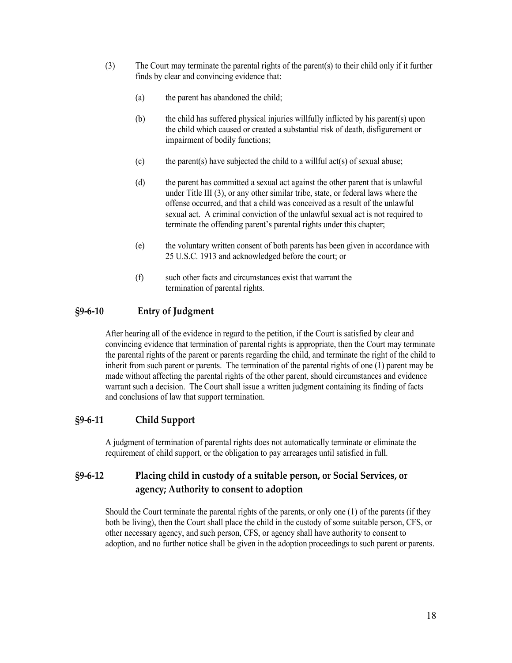- (3) The Court may terminate the parental rights of the parent(s) to their child only if it further finds by clear and convincing evidence that:
	- (a) the parent has abandoned the child;
	- (b) the child has suffered physical injuries willfully inflicted by his parent(s) upon the child which caused or created a substantial risk of death, disfigurement or impairment of bodily functions;
	- (c) the parent(s) have subjected the child to a willful act(s) of sexual abuse;
	- (d) the parent has committed a sexual act against the other parent that is unlawful under Title III (3), or any other similar tribe, state, or federal laws where the offense occurred, and that a child was conceived as a result of the unlawful sexual act. A criminal conviction of the unlawful sexual act is not required to terminate the offending parent's parental rights under this chapter;
	- (e) the voluntary written consent of both parents has been given in accordance with 25 U.S.C. 1913 and acknowledged before the court; or
	- (f) such other facts and circumstances exist that warrant the termination of parental rights.

# <span id="page-17-0"></span>**§9-6-10 Entry of Judgment**

After hearing all of the evidence in regard to the petition, if the Court is satisfied by clear and convincing evidence that termination of parental rights is appropriate, then the Court may terminate the parental rights of the parent or parents regarding the child, and terminate the right of the child to inherit from such parent or parents. The termination of the parental rights of one (1) parent may be made without affecting the parental rights of the other parent, should circumstances and evidence warrant such a decision. The Court shall issue a written judgment containing its finding of facts and conclusions of law that support termination.

# <span id="page-17-1"></span>**§9-6-11 Child Support**

A judgment of termination of parental rights does not automatically terminate or eliminate the requirement of child support, or the obligation to pay arrearages until satisfied in full.

# <span id="page-17-2"></span>**§9-6-12 Placing child in custody of a suitable person, or Social Services, or agency; Authority to consent to adoption**

Should the Court terminate the parental rights of the parents, or only one (1) of the parents (if they both be living), then the Court shall place the child in the custody of some suitable person, CFS, or other necessary agency, and such person, CFS, or agency shall have authority to consent to adoption, and no further notice shall be given in the adoption proceedings to such parent or parents.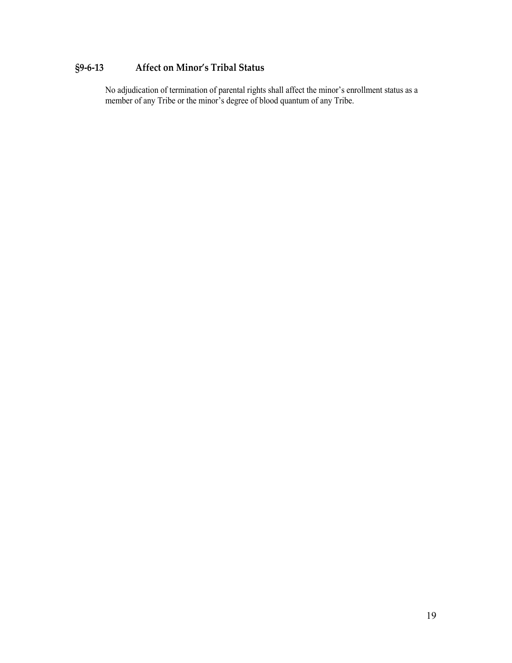# <span id="page-18-0"></span>**§9-6-13 Affect on Minor's Tribal Status**

No adjudication of termination of parental rights shall affect the minor's enrollment status as a member of any Tribe or the minor's degree of blood quantum of any Tribe.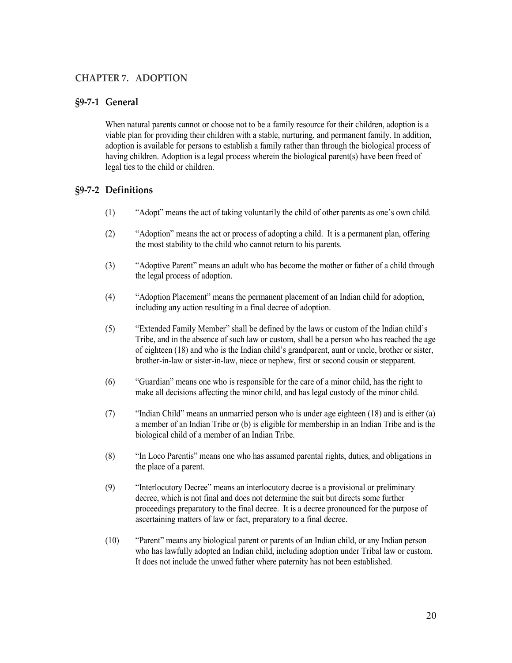# <span id="page-19-0"></span>**CHAPTER 7. ADOPTION**

#### <span id="page-19-1"></span>**§9-7-1 General**

When natural parents cannot or choose not to be a family resource for their children, adoption is a viable plan for providing their children with a stable, nurturing, and permanent family. In addition, adoption is available for persons to establish a family rather than through the biological process of having children. Adoption is a legal process wherein the biological parent(s) have been freed of legal ties to the child or children.

#### <span id="page-19-2"></span>**§9-7-2 Definitions**

- (1) "Adopt" means the act of taking voluntarily the child of other parents as one's own child.
- (2) "Adoption" means the act or process of adopting a child. It is a permanent plan, offering the most stability to the child who cannot return to his parents.
- (3) "Adoptive Parent" means an adult who has become the mother or father of a child through the legal process of adoption.
- (4) "Adoption Placement" means the permanent placement of an Indian child for adoption, including any action resulting in a final decree of adoption.
- (5) "Extended Family Member" shall be defined by the laws or custom of the Indian child's Tribe, and in the absence of such law or custom, shall be a person who has reached the age of eighteen (18) and who is the Indian child's grandparent, aunt or uncle, brother or sister, brother-in-law or sister-in-law, niece or nephew, first or second cousin or stepparent.
- (6) "Guardian" means one who is responsible for the care of a minor child, has the right to make all decisions affecting the minor child, and has legal custody of the minor child.
- (7) "Indian Child" means an unmarried person who is under age eighteen (18) and is either (a) a member of an Indian Tribe or (b) is eligible for membership in an Indian Tribe and is the biological child of a member of an Indian Tribe.
- (8) "In Loco Parentis" means one who has assumed parental rights, duties, and obligations in the place of a parent.
- (9) "Interlocutory Decree" means an interlocutory decree is a provisional or preliminary decree, which is not final and does not determine the suit but directs some further proceedings preparatory to the final decree. It is a decree pronounced for the purpose of ascertaining matters of law or fact, preparatory to a final decree.
- (10) "Parent" means any biological parent or parents of an Indian child, or any Indian person who has lawfully adopted an Indian child, including adoption under Tribal law or custom. It does not include the unwed father where paternity has not been established.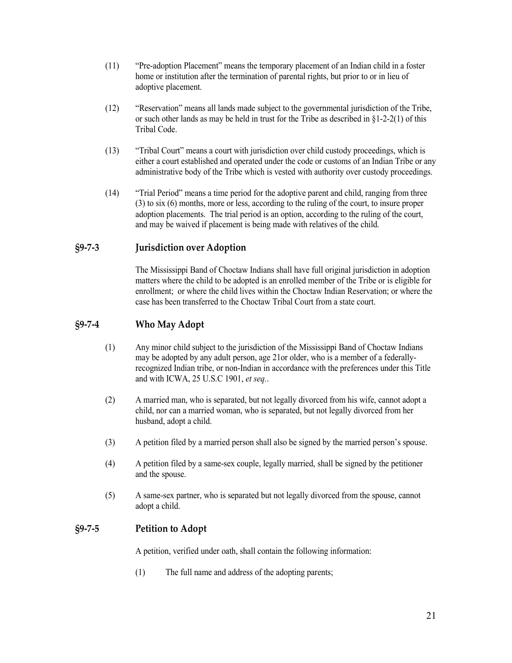- (11) "Pre-adoption Placement" means the temporary placement of an Indian child in a foster home or institution after the termination of parental rights, but prior to or in lieu of adoptive placement.
- (12) "Reservation" means all lands made subject to the governmental jurisdiction of the Tribe, or such other lands as may be held in trust for the Tribe as described in §1-2-2(1) of this Tribal Code.
- (13) "Tribal Court" means a court with jurisdiction over child custody proceedings, which is either a court established and operated under the code or customs of an Indian Tribe or any administrative body of the Tribe which is vested with authority over custody proceedings.
- (14) "Trial Period" means a time period for the adoptive parent and child, ranging from three (3) to six (6) months, more or less, according to the ruling of the court, to insure proper adoption placements. The trial period is an option, according to the ruling of the court, and may be waived if placement is being made with relatives of the child.

## <span id="page-20-0"></span>**§9-7-3 Jurisdiction over Adoption**

The Mississippi Band of Choctaw Indians shall have full original jurisdiction in adoption matters where the child to be adopted is an enrolled member of the Tribe or is eligible for enrollment; or where the child lives within the Choctaw Indian Reservation; or where the case has been transferred to the Choctaw Tribal Court from a state court.

## <span id="page-20-1"></span>**§9-7-4 Who May Adopt**

- (1) Any minor child subject to the jurisdiction of the Mississippi Band of Choctaw Indians may be adopted by any adult person, age 21or older, who is a member of a federallyrecognized Indian tribe, or non-Indian in accordance with the preferences under this Title and with ICWA, 25 U.S.C 1901, *et seq.*.
- (2) A married man, who is separated, but not legally divorced from his wife, cannot adopt a child, nor can a married woman, who is separated, but not legally divorced from her husband, adopt a child.
- (3) A petition filed by a married person shall also be signed by the married person's spouse.
- (4) A petition filed by a same-sex couple, legally married, shall be signed by the petitioner and the spouse.
- (5) A same-sex partner, who is separated but not legally divorced from the spouse, cannot adopt a child.

## <span id="page-20-2"></span>**§9-7-5 Petition to Adopt**

A petition, verified under oath, shall contain the following information:

(1) The full name and address of the adopting parents;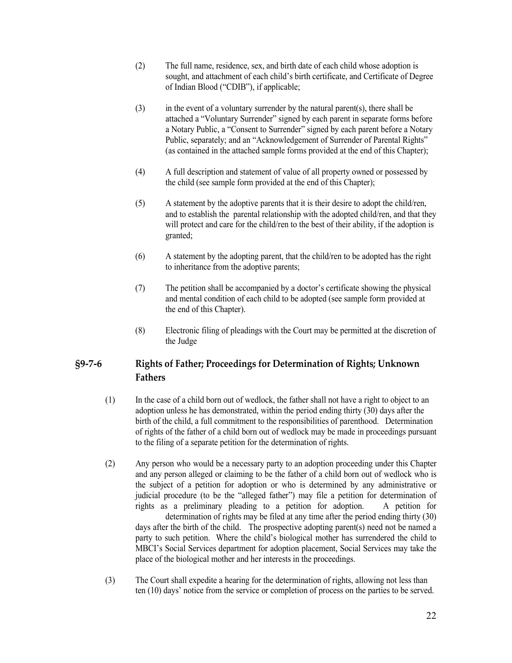- (2) The full name, residence, sex, and birth date of each child whose adoption is sought, and attachment of each child's birth certificate, and Certificate of Degree of Indian Blood ("CDIB"), if applicable;
- $(3)$  in the event of a voluntary surrender by the natural parent(s), there shall be attached a "Voluntary Surrender" signed by each parent in separate forms before a Notary Public, a "Consent to Surrender" signed by each parent before a Notary Public, separately; and an "Acknowledgement of Surrender of Parental Rights" (as contained in the attached sample forms provided at the end of this Chapter);
- (4) A full description and statement of value of all property owned or possessed by the child (see sample form provided at the end of this Chapter);
- (5) A statement by the adoptive parents that it is their desire to adopt the child/ren, and to establish the parental relationship with the adopted child/ren, and that they will protect and care for the child/ren to the best of their ability, if the adoption is granted;
- (6) A statement by the adopting parent, that the child/ren to be adopted has the right to inheritance from the adoptive parents;
- (7) The petition shall be accompanied by a doctor's certificate showing the physical and mental condition of each child to be adopted (see sample form provided at the end of this Chapter).
- (8) Electronic filing of pleadings with the Court may be permitted at the discretion of the Judge

# <span id="page-21-0"></span>**§9-7-6 Rights of Father; Proceedings for Determination of Rights; Unknown Fathers**

- (1) In the case of a child born out of wedlock, the father shall not have a right to object to an adoption unless he has demonstrated, within the period ending thirty (30) days after the birth of the child, a full commitment to the responsibilities of parenthood. Determination of rights of the father of a child born out of wedlock may be made in proceedings pursuant to the filing of a separate petition for the determination of rights.
- (2) Any person who would be a necessary party to an adoption proceeding under this Chapter and any person alleged or claiming to be the father of a child born out of wedlock who is the subject of a petition for adoption or who is determined by any administrative or judicial procedure (to be the "alleged father") may file a petition for determination of rights as a preliminary pleading to a petition for adoption. A petition for determination of rights may be filed at any time after the period ending thirty (30) days after the birth of the child. The prospective adopting parent(s) need not be named a party to such petition. Where the child's biological mother has surrendered the child to MBCI's Social Services department for adoption placement, Social Services may take the place of the biological mother and her interests in the proceedings.
- (3) The Court shall expedite a hearing for the determination of rights, allowing not less than ten (10) days' notice from the service or completion of process on the parties to be served.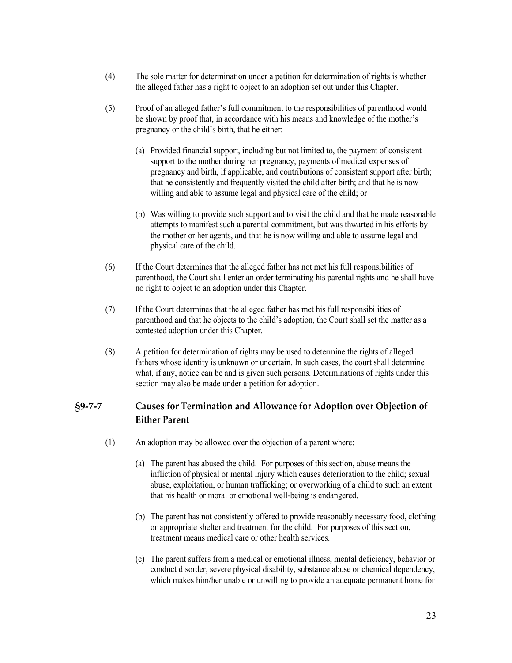- (4) The sole matter for determination under a petition for determination of rights is whether the alleged father has a right to object to an adoption set out under this Chapter.
- (5) Proof of an alleged father's full commitment to the responsibilities of parenthood would be shown by proof that, in accordance with his means and knowledge of the mother's pregnancy or the child's birth, that he either:
	- (a) Provided financial support, including but not limited to, the payment of consistent support to the mother during her pregnancy, payments of medical expenses of pregnancy and birth, if applicable, and contributions of consistent support after birth; that he consistently and frequently visited the child after birth; and that he is now willing and able to assume legal and physical care of the child; or
	- (b) Was willing to provide such support and to visit the child and that he made reasonable attempts to manifest such a parental commitment, but was thwarted in his efforts by the mother or her agents, and that he is now willing and able to assume legal and physical care of the child.
- (6) If the Court determines that the alleged father has not met his full responsibilities of parenthood, the Court shall enter an order terminating his parental rights and he shall have no right to object to an adoption under this Chapter.
- (7) If the Court determines that the alleged father has met his full responsibilities of parenthood and that he objects to the child's adoption, the Court shall set the matter as a contested adoption under this Chapter.
- (8) A petition for determination of rights may be used to determine the rights of alleged fathers whose identity is unknown or uncertain. In such cases, the court shall determine what, if any, notice can be and is given such persons. Determinations of rights under this section may also be made under a petition for adoption.

# <span id="page-22-0"></span>**§9-7-7 Causes for Termination and Allowance for Adoption over Objection of Either Parent**

- (1) An adoption may be allowed over the objection of a parent where:
	- (a) The parent has abused the child. For purposes of this section, abuse means the infliction of physical or mental injury which causes deterioration to the child; sexual abuse, exploitation, or human trafficking; or overworking of a child to such an extent that his health or moral or emotional well-being is endangered.
	- (b) The parent has not consistently offered to provide reasonably necessary food, clothing or appropriate shelter and treatment for the child. For purposes of this section, treatment means medical care or other health services.
	- (c) The parent suffers from a medical or emotional illness, mental deficiency, behavior or conduct disorder, severe physical disability, substance abuse or chemical dependency, which makes him/her unable or unwilling to provide an adequate permanent home for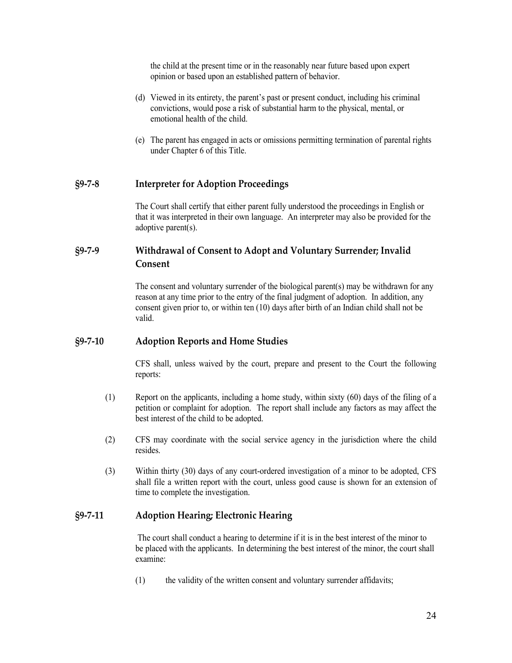the child at the present time or in the reasonably near future based upon expert opinion or based upon an established pattern of behavior.

- (d) Viewed in its entirety, the parent's past or present conduct, including his criminal convictions, would pose a risk of substantial harm to the physical, mental, or emotional health of the child.
- (e) The parent has engaged in acts or omissions permitting termination of parental rights under Chapter 6 of this Title.

#### <span id="page-23-0"></span>**§9-7-8 Interpreter for Adoption Proceedings**

The Court shall certify that either parent fully understood the proceedings in English or that it was interpreted in their own language. An interpreter may also be provided for the adoptive parent(s).

# <span id="page-23-1"></span>**§9-7-9 Withdrawal of Consent to Adopt and Voluntary Surrender; Invalid Consent**

The consent and voluntary surrender of the biological parent(s) may be withdrawn for any reason at any time prior to the entry of the final judgment of adoption. In addition, any consent given prior to, or within ten (10) days after birth of an Indian child shall not be valid.

#### <span id="page-23-2"></span>**§9-7-10 Adoption Reports and Home Studies**

CFS shall, unless waived by the court, prepare and present to the Court the following reports:

- (1) Report on the applicants, including a home study, within sixty (60) days of the filing of a petition or complaint for adoption. The report shall include any factors as may affect the best interest of the child to be adopted.
- (2) CFS may coordinate with the social service agency in the jurisdiction where the child resides.
- (3) Within thirty (30) days of any court-ordered investigation of a minor to be adopted, CFS shall file a written report with the court, unless good cause is shown for an extension of time to complete the investigation.

#### <span id="page-23-3"></span>**§9-7-11 Adoption Hearing; Electronic Hearing**

The court shall conduct a hearing to determine if it is in the best interest of the minor to be placed with the applicants. In determining the best interest of the minor, the court shall examine:

(1) the validity of the written consent and voluntary surrender affidavits;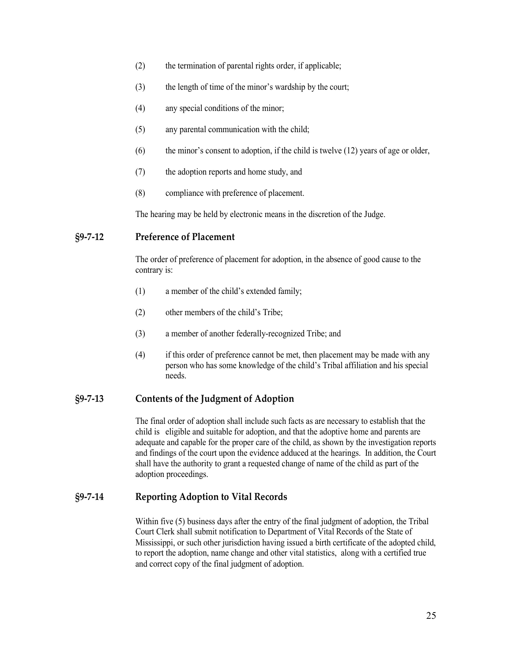- (2) the termination of parental rights order, if applicable;
- (3) the length of time of the minor's wardship by the court;
- (4) any special conditions of the minor;
- (5) any parental communication with the child;
- $(6)$  the minor's consent to adoption, if the child is twelve  $(12)$  years of age or older,
- (7) the adoption reports and home study, and
- (8) compliance with preference of placement.

The hearing may be held by electronic means in the discretion of the Judge.

## <span id="page-24-0"></span>**§9-7-12 Preference of Placement**

The order of preference of placement for adoption, in the absence of good cause to the contrary is:

- (1) a member of the child's extended family;
- (2) other members of the child's Tribe;
- (3) a member of another federally-recognized Tribe; and
- (4) if this order of preference cannot be met, then placement may be made with any person who has some knowledge of the child's Tribal affiliation and his special needs.

#### <span id="page-24-1"></span>**§9-7-13 Contents of the Judgment of Adoption**

The final order of adoption shall include such facts as are necessary to establish that the child is eligible and suitable for adoption, and that the adoptive home and parents are adequate and capable for the proper care of the child, as shown by the investigation reports and findings of the court upon the evidence adduced at the hearings. In addition, the Court shall have the authority to grant a requested change of name of the child as part of the adoption proceedings.

## <span id="page-24-2"></span>**§9-7-14 Reporting Adoption to Vital Records**

Within five (5) business days after the entry of the final judgment of adoption, the Tribal Court Clerk shall submit notification to Department of Vital Records of the State of Mississippi, or such other jurisdiction having issued a birth certificate of the adopted child, to report the adoption, name change and other vital statistics, along with a certified true and correct copy of the final judgment of adoption.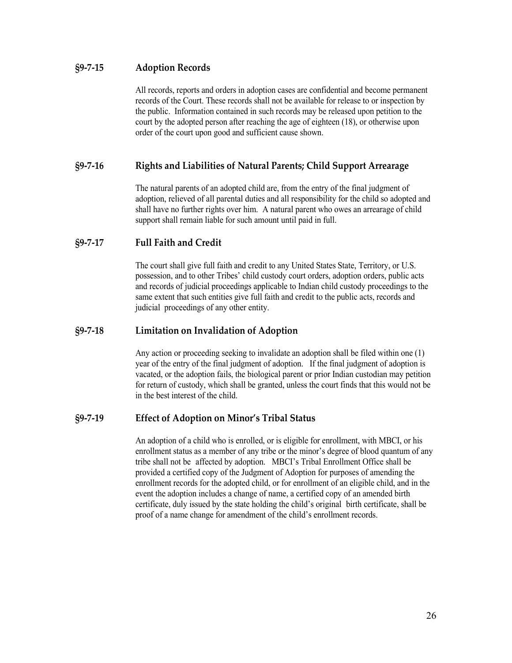## <span id="page-25-0"></span>**§9-7-15 Adoption Records**

All records, reports and orders in adoption cases are confidential and become permanent records of the Court. These records shall not be available for release to or inspection by the public. Information contained in such records may be released upon petition to the court by the adopted person after reaching the age of eighteen (18), or otherwise upon order of the court upon good and sufficient cause shown.

## <span id="page-25-1"></span>**§9-7-16 Rights and Liabilities of Natural Parents; Child Support Arrearage**

The natural parents of an adopted child are, from the entry of the final judgment of adoption, relieved of all parental duties and all responsibility for the child so adopted and shall have no further rights over him. A natural parent who owes an arrearage of child support shall remain liable for such amount until paid in full.

## <span id="page-25-2"></span>**§9-7-17 Full Faith and Credit**

The court shall give full faith and credit to any United States State, Territory, or U.S. possession, and to other Tribes' child custody court orders, adoption orders, public acts and records of judicial proceedings applicable to Indian child custody proceedings to the same extent that such entities give full faith and credit to the public acts, records and judicial proceedings of any other entity.

## <span id="page-25-3"></span>**§9-7-18 Limitation on Invalidation of Adoption**

Any action or proceeding seeking to invalidate an adoption shall be filed within one (1) year of the entry of the final judgment of adoption. If the final judgment of adoption is vacated, or the adoption fails, the biological parent or prior Indian custodian may petition for return of custody, which shall be granted, unless the court finds that this would not be in the best interest of the child.

## <span id="page-25-4"></span>**§9-7-19 Effect of Adoption on Minor's Tribal Status**

An adoption of a child who is enrolled, or is eligible for enrollment, with MBCI, or his enrollment status as a member of any tribe or the minor's degree of blood quantum of any tribe shall not be affected by adoption. MBCI's Tribal Enrollment Office shall be provided a certified copy of the Judgment of Adoption for purposes of amending the enrollment records for the adopted child, or for enrollment of an eligible child, and in the event the adoption includes a change of name, a certified copy of an amended birth certificate, duly issued by the state holding the child's original birth certificate, shall be proof of a name change for amendment of the child's enrollment records.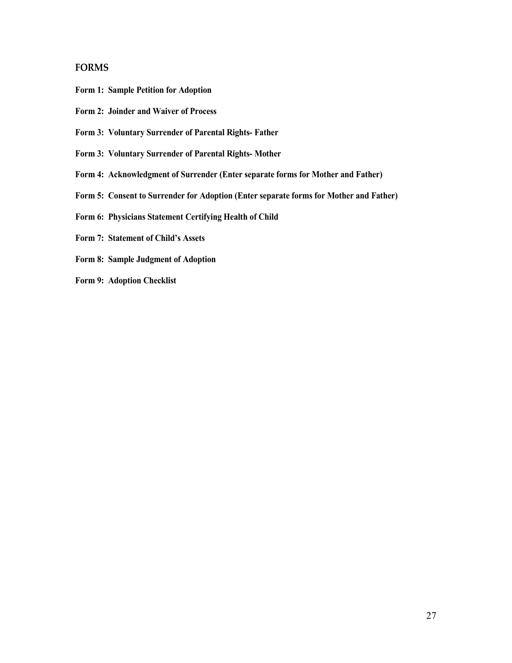#### <span id="page-26-0"></span>**FORMS**

- **Form 1: Sample Petition for Adoption**
- **Form 2: Joinder and Waiver of Process**
- **Form 3: Voluntary Surrender of Parental Rights- Father**
- **Form 3: Voluntary Surrender of Parental Rights- Mother**
- **Form 4: Acknowledgment of Surrender (Enter separate forms for Mother and Father)**
- **Form 5: Consent to Surrender for Adoption (Enter separate forms for Mother and Father)**
- **Form 6: Physicians Statement Certifying Health of Child**
- **Form 7: Statement of Child's Assets**
- **Form 8: Sample Judgment of Adoption**
- **Form 9: Adoption Checklist**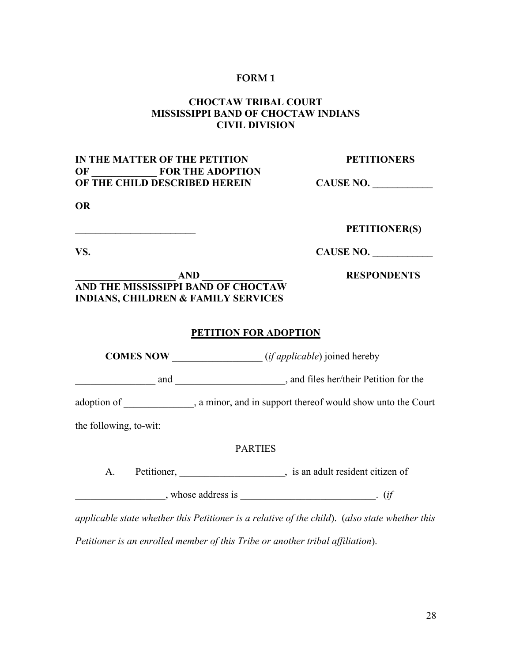# **CHOCTAW TRIBAL COURT MISSISSIPPI BAND OF CHOCTAW INDIANS CIVIL DIVISION**

# **IN THE MATTER OF THE PETITION PETITIONERS OF \_\_\_\_\_\_\_\_\_\_\_\_\_ FOR THE ADOPTION OF THE CHILD DESCRIBED HEREIN CAUSE NO.**

**OR**

#### **\_\_\_\_\_\_\_\_\_\_\_\_\_\_\_\_\_\_\_\_\_\_\_\_ PETITIONER(S)**

**VS. CAUSE NO.** 

**\_\_\_\_\_\_\_\_\_\_\_\_\_\_\_\_\_\_\_\_ AND \_\_\_\_\_\_\_\_\_\_\_\_\_\_\_\_ RESPONDENTS**

**AND THE MISSISSIPPI BAND OF CHOCTAW INDIANS, CHILDREN & FAMILY SERVICES**

#### **PETITION FOR ADOPTION**

**COMES NOW** (*if applicable*) joined hereby and and  $\Box$ , and files her/their Petition for the adoption of  $\qquad \qquad$ , a minor, and in support thereof would show unto the Court

the following, to-wit:

## PARTIES

A. Petitioner, 1. 2010, 1. 2010, 1. 2010, 1. 2010, 1. 2010, 1. 2010, 1. 2010, 1. 2010, 1. 2010, 1. 2010, 1. 2010, 1. 2010, 1. 2010, 1. 2010, 1. 2010, 1. 2010, 1. 2010, 1. 2010, 1. 2010, 1. 2010, 1. 2010, 1. 2010, 1. 2010,

 $\blacksquare$ , whose address is  $\blacksquare$ . (*if* 

*applicable state whether this Petitioner is a relative of the child*). (*also state whether this* 

*Petitioner is an enrolled member of this Tribe or another tribal affiliation*).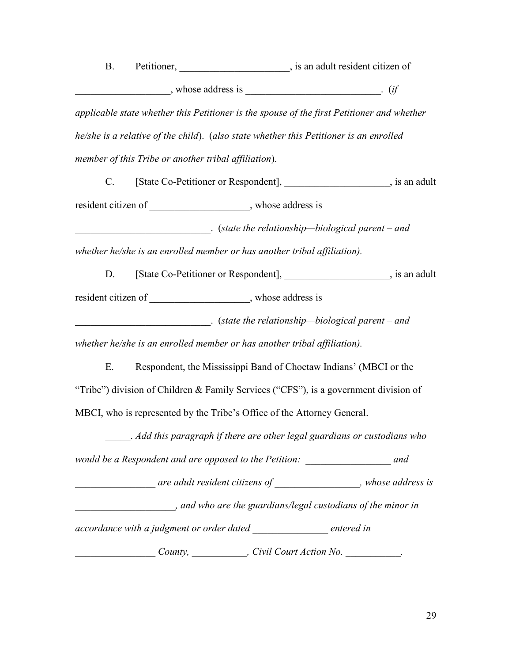B. Petitioner, \_\_\_\_\_\_\_\_\_\_\_\_\_\_\_\_\_\_\_\_\_, is an adult resident citizen of  $\blacksquare$ , whose address is  $\blacksquare$ . (*if* 

*applicable state whether this Petitioner is the spouse of the first Petitioner and whether he/she is a relative of the child*). (*also state whether this Petitioner is an enrolled member of this Tribe or another tribal affiliation*).

C. [State Co-Petitioner or Respondent], \_\_\_\_\_\_\_\_\_\_\_\_\_\_\_\_\_\_\_\_, is an adult resident citizen of \_\_\_\_\_\_\_\_\_\_\_\_\_\_\_\_\_, whose address is \_\_\_\_\_\_\_\_\_\_\_\_\_\_\_\_\_\_\_\_\_\_\_\_\_\_\_. (*state the relationship—biological parent – and* 

*whether he/she is an enrolled member or has another tribal affiliation).*

D. [State Co-Petitioner or Respondent],  $\qquad \qquad$ , is an adult resident citizen of \_\_\_\_\_\_\_\_\_\_\_\_\_\_\_\_\_\_, whose address is

\_\_\_\_\_\_\_\_\_\_\_\_\_\_\_\_\_\_\_\_\_\_\_\_\_\_\_. (*state the relationship—biological parent – and* 

*whether he/she is an enrolled member or has another tribal affiliation).*

E. Respondent, the Mississippi Band of Choctaw Indians' (MBCI or the "Tribe") division of Children & Family Services ("CFS"), is a government division of MBCI, who is represented by the Tribe's Office of the Attorney General.

\_\_\_\_\_. *Add this paragraph if there are other legal guardians or custodians who* 

*would be a Respondent and are opposed to the Petition: \_\_\_\_\_\_\_\_\_\_\_\_\_\_\_\_\_ and* 

*are adult resident citizens of*  $\overline{a}$ *, whose address is* 

*\_\_\_\_\_\_\_\_\_\_\_\_\_\_\_\_\_\_\_\_, and who are the guardians/legal custodians of the minor in* 

*accordance with a judgment or order dated \_\_\_\_\_\_\_\_\_\_\_\_\_\_\_ entered in* 

*County, \_\_\_\_\_\_\_\_\_\_\_, Civil Court Action No.* \_\_\_\_\_\_\_\_\_\_\_.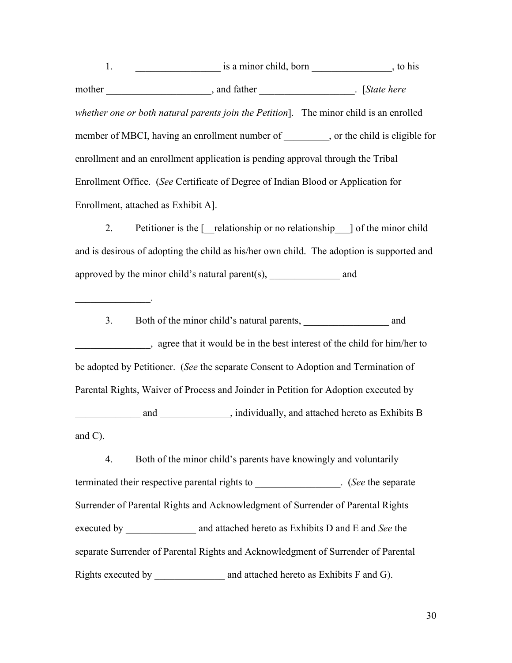1. The is a minor child, born the set of the set of the set of the set of the set of the set of the set of the set of the set of the set of the set of the set of the set of the set of the set of the set of the set of the s mother \_\_\_\_\_\_\_\_\_\_\_\_\_\_\_\_\_\_\_, and father \_\_\_\_\_\_\_\_\_\_\_\_\_\_\_\_\_\_\_\_. [State here *whether one or both natural parents join the Petition*]. The minor child is an enrolled member of MBCI, having an enrollment number of  $\qquad \qquad$ , or the child is eligible for enrollment and an enrollment application is pending approval through the Tribal Enrollment Office. (*See* Certificate of Degree of Indian Blood or Application for Enrollment, attached as Exhibit A].

2. Petitioner is the  $\lceil \cdot \rceil$  relationship or no relationship  $\lceil \cdot \rceil$  of the minor child and is desirous of adopting the child as his/her own child. The adoption is supported and approved by the minor child's natural parent $(s)$ , and and

 $\mathcal{L}_\text{max}$ 

3. Both of the minor child's natural parents, and \_\_\_\_\_\_\_\_\_\_\_\_\_\_\_, agree that it would be in the best interest of the child for him/her to be adopted by Petitioner. (*See* the separate Consent to Adoption and Termination of Parental Rights, Waiver of Process and Joinder in Petition for Adoption executed by and and and and attached hereto as Exhibits B and C).

4. Both of the minor child's parents have knowingly and voluntarily terminated their respective parental rights to  $\qquad \qquad$  (*See* the separate Surrender of Parental Rights and Acknowledgment of Surrender of Parental Rights executed by **and attached hereto as Exhibits D and E and** *See* **the** separate Surrender of Parental Rights and Acknowledgment of Surrender of Parental Rights executed by \_\_\_\_\_\_\_\_\_\_\_\_\_\_\_\_\_\_ and attached hereto as Exhibits F and G).

30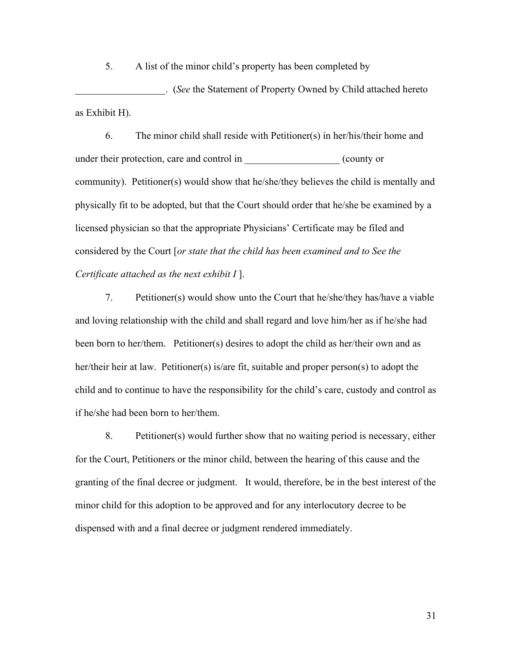5. A list of the minor child's property has been completed by

\_\_\_\_\_\_\_\_\_\_\_\_\_\_\_\_\_\_. (*See* the Statement of Property Owned by Child attached hereto as Exhibit H).

6. The minor child shall reside with Petitioner(s) in her/his/their home and under their protection, care and control in  $($  county or community). Petitioner(s) would show that he/she/they believes the child is mentally and physically fit to be adopted, but that the Court should order that he/she be examined by a licensed physician so that the appropriate Physicians' Certificate may be filed and considered by the Court [*or state that the child has been examined and to See the Certificate attached as the next exhibit I* ].

7. Petitioner(s) would show unto the Court that he/she/they has/have a viable and loving relationship with the child and shall regard and love him/her as if he/she had been born to her/them. Petitioner(s) desires to adopt the child as her/their own and as her/their heir at law. Petitioner(s) is/are fit, suitable and proper person(s) to adopt the child and to continue to have the responsibility for the child's care, custody and control as if he/she had been born to her/them.

8. Petitioner(s) would further show that no waiting period is necessary, either for the Court, Petitioners or the minor child, between the hearing of this cause and the granting of the final decree or judgment. It would, therefore, be in the best interest of the minor child for this adoption to be approved and for any interlocutory decree to be dispensed with and a final decree or judgment rendered immediately.

31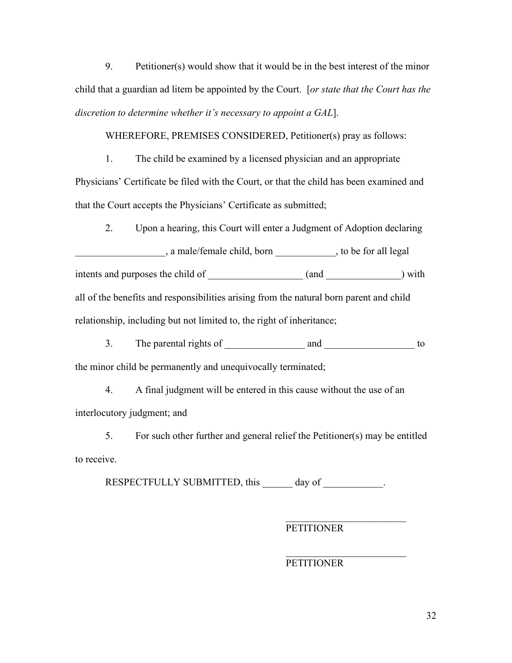9. Petitioner(s) would show that it would be in the best interest of the minor child that a guardian ad litem be appointed by the Court. [*or state that the Court has the discretion to determine whether it's necessary to appoint a GAL*].

#### WHEREFORE, PREMISES CONSIDERED, Petitioner(s) pray as follows:

1. The child be examined by a licensed physician and an appropriate Physicians' Certificate be filed with the Court, or that the child has been examined and that the Court accepts the Physicians' Certificate as submitted;

2. Upon a hearing, this Court will enter a Judgment of Adoption declaring

\_\_\_\_\_\_\_\_\_\_\_\_\_\_\_\_\_\_, a male/female child, born \_\_\_\_\_\_\_\_\_\_\_\_, to be for all legal intents and purposes the child of  $($ and  $)$  with all of the benefits and responsibilities arising from the natural born parent and child relationship, including but not limited to, the right of inheritance;

3. The parental rights of and to the minor child be permanently and unequivocally terminated;

4. A final judgment will be entered in this cause without the use of an interlocutory judgment; and

5. For such other further and general relief the Petitioner(s) may be entitled to receive.

RESPECTFULLY SUBMITTED, this \_\_\_\_\_\_ day of \_\_\_\_\_\_\_\_\_\_\_\_.

PETITIONER

\_\_\_\_\_\_\_\_\_\_\_\_\_\_\_\_\_\_\_\_\_\_\_\_

# PETITIONER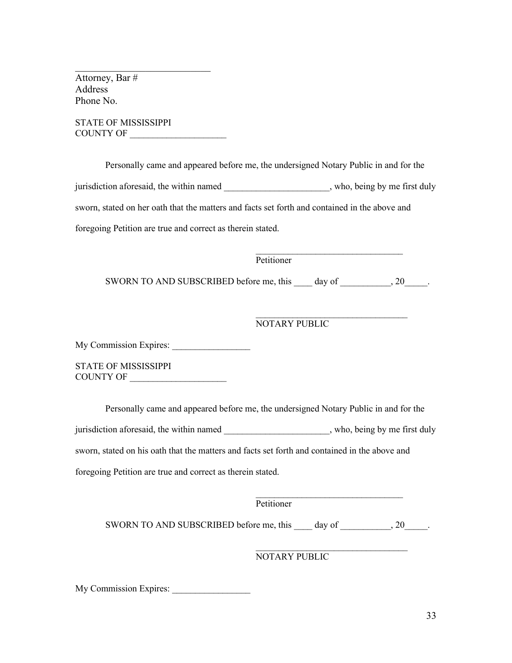Attorney, Bar # Address Phone No.

STATE OF MISSISSIPPI COUNTY OF \_\_\_\_\_\_\_\_\_\_\_\_\_\_\_\_\_\_\_\_\_

\_\_\_\_\_\_\_\_\_\_\_\_\_\_\_\_\_\_\_\_\_\_\_\_\_\_\_

Personally came and appeared before me, the undersigned Notary Public in and for the jurisdiction aforesaid, the within named  $\qquad \qquad$ , who, being by me first duly sworn, stated on her oath that the matters and facts set forth and contained in the above and foregoing Petition are true and correct as therein stated.

Petitioner

SWORN TO AND SUBSCRIBED before me, this \_\_\_\_ day of \_\_\_\_\_\_\_\_\_\_, 20\_\_\_\_\_\_.

## NOTARY PUBLIC

 $\overline{\phantom{a}}$  , where  $\overline{\phantom{a}}$  , where  $\overline{\phantom{a}}$  ,  $\overline{\phantom{a}}$  ,  $\overline{\phantom{a}}$  ,  $\overline{\phantom{a}}$  ,  $\overline{\phantom{a}}$  ,  $\overline{\phantom{a}}$  ,  $\overline{\phantom{a}}$  ,  $\overline{\phantom{a}}$  ,  $\overline{\phantom{a}}$  ,  $\overline{\phantom{a}}$  ,  $\overline{\phantom{a}}$  ,  $\overline{\phantom{a}}$  ,  $\overline{\phantom{a}}$  ,

 $\mathcal{L}_\text{max}$  , where  $\mathcal{L}_\text{max}$  , we are the set of the set of the set of the set of the set of the set of the set of the set of the set of the set of the set of the set of the set of the set of the set of the set of

 $\mathcal{L}_\text{max}$  , where  $\mathcal{L}_\text{max}$  and  $\mathcal{L}_\text{max}$  and  $\mathcal{L}_\text{max}$ 

 $\mathcal{L}_\text{max}$  , where  $\mathcal{L}_\text{max}$  is the set of the set of the set of the set of the set of the set of the set of the set of the set of the set of the set of the set of the set of the set of the set of the set of the se

My Commission Expires:

STATE OF MISSISSIPPI COUNTY OF \_\_\_\_\_\_\_\_\_\_\_\_\_\_\_\_\_\_\_\_\_

Personally came and appeared before me, the undersigned Notary Public in and for the jurisdiction aforesaid, the within named  $\qquad \qquad$ , who, being by me first duly sworn, stated on his oath that the matters and facts set forth and contained in the above and foregoing Petition are true and correct as therein stated.

Petitioner

SWORN TO AND SUBSCRIBED before me, this day of  $\qquad \qquad , 20$ 

## NOTARY PUBLIC

My Commission Expires: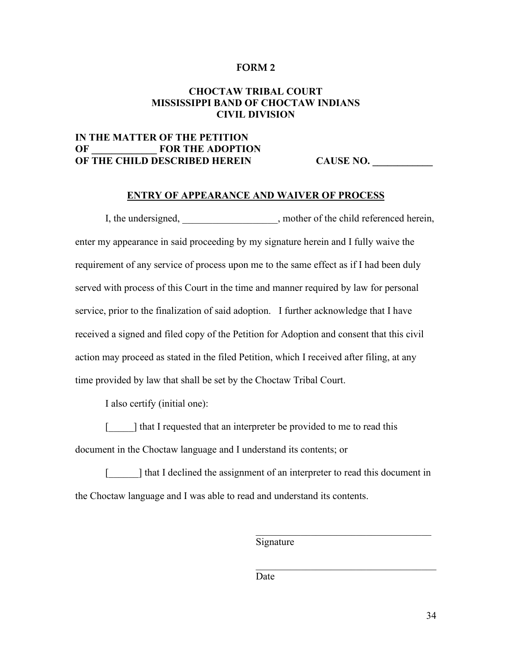## **CHOCTAW TRIBAL COURT MISSISSIPPI BAND OF CHOCTAW INDIANS CIVIL DIVISION**

# **IN THE MATTER OF THE PETITION OF \_\_\_\_\_\_\_\_\_\_\_\_\_ FOR THE ADOPTION OF THE CHILD DESCRIBED HEREIN CAUSE NO. \_\_\_\_\_\_\_\_\_\_\_\_**

#### **ENTRY OF APPEARANCE AND WAIVER OF PROCESS**

I, the undersigned,  $\blacksquare$ , mother of the child referenced herein, enter my appearance in said proceeding by my signature herein and I fully waive the requirement of any service of process upon me to the same effect as if I had been duly served with process of this Court in the time and manner required by law for personal service, prior to the finalization of said adoption. I further acknowledge that I have received a signed and filed copy of the Petition for Adoption and consent that this civil action may proceed as stated in the filed Petition, which I received after filing, at any time provided by law that shall be set by the Choctaw Tribal Court.

I also certify (initial one):

[iddots] that I requested that an interpreter be provided to me to read this document in the Choctaw language and I understand its contents; or

[iddent] that I declined the assignment of an interpreter to read this document in the Choctaw language and I was able to read and understand its contents.

Signature

 $\mathcal{L}_\mathcal{L}$  , where  $\mathcal{L}_\mathcal{L}$  , we are the set of the set of the set of the set of the set of the set of the set of the set of the set of the set of the set of the set of the set of the set of the set of the set o

 $\mathcal{L}_\mathcal{L}$  , which is a set of the set of the set of the set of the set of the set of the set of the set of the set of the set of the set of the set of the set of the set of the set of the set of the set of the set of

Date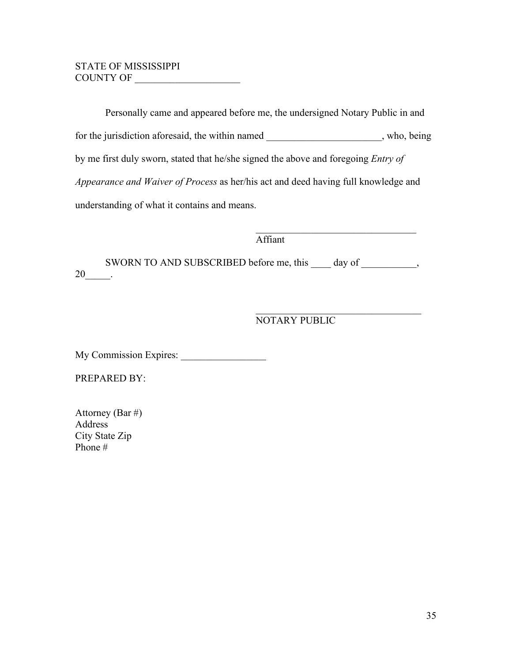# STATE OF MISSISSIPPI COUNTY OF

Personally came and appeared before me, the undersigned Notary Public in and for the jurisdiction aforesaid, the within named \_\_\_\_\_\_\_\_\_\_\_\_\_\_\_\_\_\_\_\_, who, being by me first duly sworn, stated that he/she signed the above and foregoing *Entry of Appearance and Waiver of Process* as her/his act and deed having full knowledge and understanding of what it contains and means.

Affiant

SWORN TO AND SUBSCRIBED before me, this \_\_\_\_ day of \_\_\_\_\_\_\_\_\_,  $20$ \_\_\_\_\_\_.

NOTARY PUBLIC

 $\mathcal{L}_\text{max}$  , which is a set of the set of the set of the set of the set of the set of the set of the set of the set of the set of the set of the set of the set of the set of the set of the set of the set of the set of

 $\mathcal{L}_\text{max}$  and  $\mathcal{L}_\text{max}$  and  $\mathcal{L}_\text{max}$  and  $\mathcal{L}_\text{max}$ 

My Commission Expires: \_\_\_\_\_\_\_\_\_\_\_\_\_\_\_\_\_

PREPARED BY:

| Attorney (Bar #) |
|------------------|
| Address          |
| City State Zip   |
| Phone #          |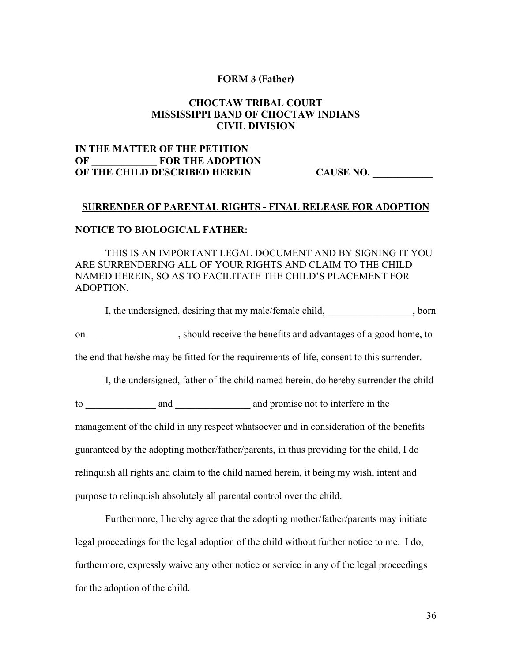#### **FORM 3 (Father)**

## **CHOCTAW TRIBAL COURT MISSISSIPPI BAND OF CHOCTAW INDIANS CIVIL DIVISION**

# **IN THE MATTER OF THE PETITION OF \_\_\_\_\_\_\_\_\_\_\_\_\_ FOR THE ADOPTION OF THE CHILD DESCRIBED HEREIN CAUSE NO.**

#### **SURRENDER OF PARENTAL RIGHTS - FINAL RELEASE FOR ADOPTION**

#### **NOTICE TO BIOLOGICAL FATHER:**

THIS IS AN IMPORTANT LEGAL DOCUMENT AND BY SIGNING IT YOU ARE SURRENDERING ALL OF YOUR RIGHTS AND CLAIM TO THE CHILD NAMED HEREIN, SO AS TO FACILITATE THE CHILD'S PLACEMENT FOR ADOPTION.

I, the undersigned, desiring that my male/female child,  $\qquad \qquad$ , born

on \_\_\_\_\_\_\_\_\_\_\_\_\_\_\_\_\_\_, should receive the benefits and advantages of a good home, to

the end that he/she may be fitted for the requirements of life, consent to this surrender.

I, the undersigned, father of the child named herein, do hereby surrender the child

to and and and promise not to interfere in the management of the child in any respect whatsoever and in consideration of the benefits guaranteed by the adopting mother/father/parents, in thus providing for the child, I do relinquish all rights and claim to the child named herein, it being my wish, intent and purpose to relinquish absolutely all parental control over the child.

Furthermore, I hereby agree that the adopting mother/father/parents may initiate legal proceedings for the legal adoption of the child without further notice to me. I do, furthermore, expressly waive any other notice or service in any of the legal proceedings for the adoption of the child.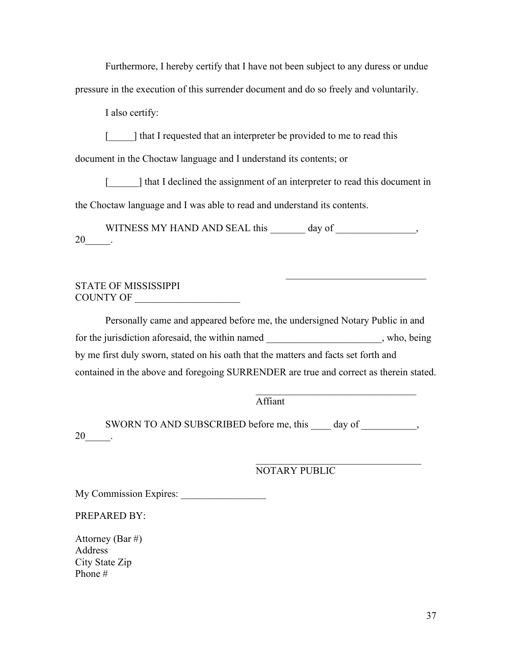Furthermore, I hereby certify that I have not been subject to any duress or undue pressure in the execution of this surrender document and do so freely and voluntarily.

I also certify:

[iddots] that I requested that an interpreter be provided to me to read this

document in the Choctaw language and I understand its contents; or

[iddent] that I declined the assignment of an interpreter to read this document in the Choctaw language and I was able to read and understand its contents.

WITNESS MY HAND AND SEAL this day of  $\qquad \qquad$ ,  $20$  \_\_\_\_\_\_.

# STATE OF MISSISSIPPI COUNTY OF \_\_\_\_\_\_\_\_\_\_\_\_\_\_\_\_\_\_\_\_\_

Personally came and appeared before me, the undersigned Notary Public in and for the jurisdiction aforesaid, the within named \_\_\_\_\_\_\_\_\_\_\_\_\_\_\_\_\_\_\_\_\_\_\_, who, being by me first duly sworn, stated on his oath that the matters and facts set forth and contained in the above and foregoing SURRENDER are true and correct as therein stated.

Affiant

SWORN TO AND SUBSCRIBED before me, this day of  $\qquad \qquad$ , 20\_\_\_\_\_\_.

NOTARY PUBLIC

 $\mathcal{L}_\mathcal{L}$  , which is a set of the set of the set of the set of the set of the set of the set of the set of the set of the set of the set of the set of the set of the set of the set of the set of the set of the set of

 $\mathcal{L}_\text{max}$  , which is a set of the set of the set of the set of the set of the set of the set of the set of the set of the set of the set of the set of the set of the set of the set of the set of the set of the set of

 $\mathcal{L}_\mathcal{L}$  , where  $\mathcal{L}_\mathcal{L}$  , we are the set of the set of the set of the set of the set of the set of the set of the set of the set of the set of the set of the set of the set of the set of the set of the set o

My Commission Expires: \_\_\_\_\_\_\_\_\_\_\_\_\_\_\_\_\_

PREPARED BY:

Attorney (Bar #) Address City State Zip Phone #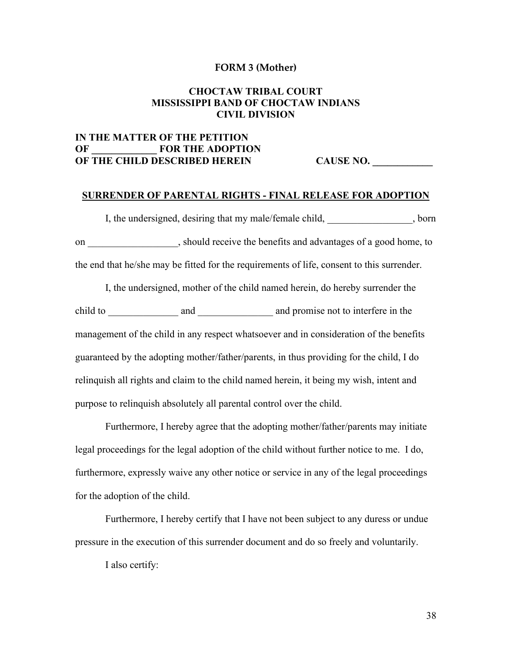#### **FORM 3 (Mother)**

# **CHOCTAW TRIBAL COURT MISSISSIPPI BAND OF CHOCTAW INDIANS CIVIL DIVISION**

# **IN THE MATTER OF THE PETITION OF \_\_\_\_\_\_\_\_\_\_\_\_\_ FOR THE ADOPTION OF THE CHILD DESCRIBED HEREIN CAUSE NO.**

#### **SURRENDER OF PARENTAL RIGHTS - FINAL RELEASE FOR ADOPTION**

I, the undersigned, desiring that my male/female child,  $\qquad \qquad$ , born on \_\_\_\_\_\_\_\_\_\_\_\_\_\_\_\_\_\_, should receive the benefits and advantages of a good home, to the end that he/she may be fitted for the requirements of life, consent to this surrender.

I, the undersigned, mother of the child named herein, do hereby surrender the child to \_\_\_\_\_\_\_\_\_\_\_\_\_\_ and \_\_\_\_\_\_\_\_\_\_\_\_\_\_\_\_\_\_\_ and promise not to interfere in the management of the child in any respect whatsoever and in consideration of the benefits guaranteed by the adopting mother/father/parents, in thus providing for the child, I do relinquish all rights and claim to the child named herein, it being my wish, intent and purpose to relinquish absolutely all parental control over the child.

Furthermore, I hereby agree that the adopting mother/father/parents may initiate legal proceedings for the legal adoption of the child without further notice to me. I do, furthermore, expressly waive any other notice or service in any of the legal proceedings for the adoption of the child.

Furthermore, I hereby certify that I have not been subject to any duress or undue pressure in the execution of this surrender document and do so freely and voluntarily.

I also certify:

38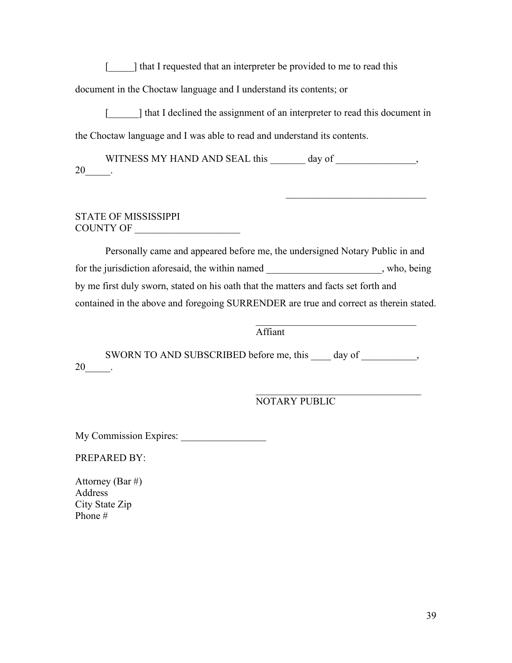[imcorright] that I requested that an interpreter be provided to me to read this

document in the Choctaw language and I understand its contents; or

[iddots in that I declined the assignment of an interpreter to read this document in the Choctaw language and I was able to read and understand its contents.

WITNESS MY HAND AND SEAL this day of \_\_\_\_\_\_\_\_\_\_\_\_\_\_\_,  $20$  \_\_\_\_.

## STATE OF MISSISSIPPI COUNTY OF

Personally came and appeared before me, the undersigned Notary Public in and for the jurisdiction aforesaid, the within named \_\_\_\_\_\_\_\_\_\_\_\_\_\_\_\_\_\_\_\_\_\_\_, who, being by me first duly sworn, stated on his oath that the matters and facts set forth and contained in the above and foregoing SURRENDER are true and correct as therein stated.

Affiant

SWORN TO AND SUBSCRIBED before me, this day of \_\_\_\_\_\_\_\_\_, 20  $\qquad$ 

> $\mathcal{L}_\mathcal{L}$  , where  $\mathcal{L}_\mathcal{L}$  , we are the set of the set of the set of the set of the set of the set of the set of the set of the set of the set of the set of the set of the set of the set of the set of the set o NOTARY PUBLIC

 $\mathcal{L}_\text{max}$  , where  $\mathcal{L}_\text{max}$  and  $\mathcal{L}_\text{max}$ 

My Commission Expires: \_\_\_\_\_\_\_\_\_\_\_\_\_\_\_\_\_

PREPARED BY:

Attorney (Bar #) Address City State Zip Phone #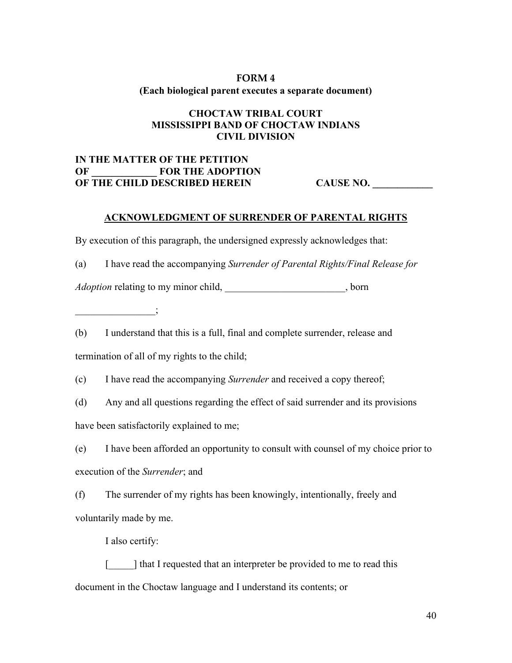# **FORM 4 (Each biological parent executes a separate document)**

# **CHOCTAW TRIBAL COURT MISSISSIPPI BAND OF CHOCTAW INDIANS CIVIL DIVISION**

# **IN THE MATTER OF THE PETITION OF \_\_\_\_\_\_\_\_\_\_\_\_\_ FOR THE ADOPTION OF THE CHILD DESCRIBED HEREIN CAUSE NO.**

# **ACKNOWLEDGMENT OF SURRENDER OF PARENTAL RIGHTS**

By execution of this paragraph, the undersigned expressly acknowledges that:

(a) I have read the accompanying *Surrender of Parental Rights/Final Release for* 

*Adoption* relating to my minor child, \_\_\_\_\_\_\_\_\_\_\_\_\_\_\_\_\_\_\_\_\_\_, born

 $\vdots$ 

(b) I understand that this is a full, final and complete surrender, release and termination of all of my rights to the child;

(c) I have read the accompanying *Surrender* and received a copy thereof;

(d) Any and all questions regarding the effect of said surrender and its provisions have been satisfactorily explained to me;

(e) I have been afforded an opportunity to consult with counsel of my choice prior to execution of the *Surrender*; and

(f) The surrender of my rights has been knowingly, intentionally, freely and voluntarily made by me.

I also certify:

[imcorright] that I requested that an interpreter be provided to me to read this document in the Choctaw language and I understand its contents; or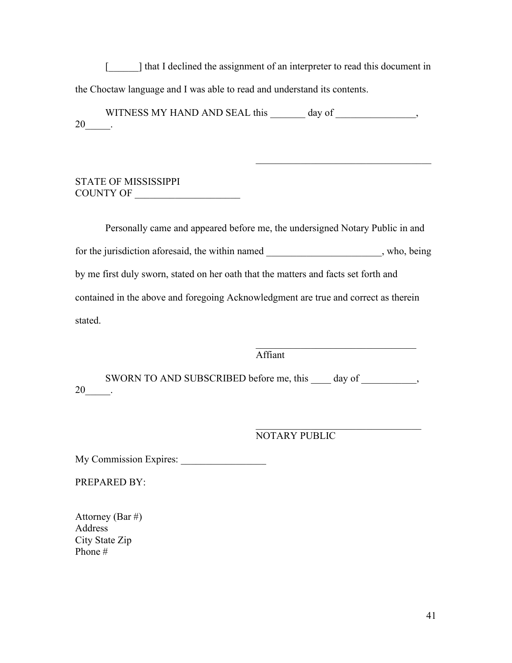[iddots in that I declined the assignment of an interpreter to read this document in the Choctaw language and I was able to read and understand its contents.

WITNESS MY HAND AND SEAL this day of  $\qquad \qquad$ , 20\_\_\_\_\_.

# STATE OF MISSISSIPPI COUNTY OF \_\_\_\_\_\_\_\_\_\_\_\_\_\_\_\_\_\_\_\_\_

Personally came and appeared before me, the undersigned Notary Public in and for the jurisdiction aforesaid, the within named , who, being by me first duly sworn, stated on her oath that the matters and facts set forth and contained in the above and foregoing Acknowledgment are true and correct as therein stated.

Affiant

SWORN TO AND SUBSCRIBED before me, this day of  $\qquad \qquad ,$ 20\_\_\_\_\_.

> $\mathcal{L}_\text{max}$  and  $\mathcal{L}_\text{max}$  and  $\mathcal{L}_\text{max}$  and  $\mathcal{L}_\text{max}$ NOTARY PUBLIC

 $\mathcal{L}_\mathcal{L}$  , where  $\mathcal{L}_\mathcal{L}$  , we are the set of the set of the set of the set of the set of the set of the set of the set of the set of the set of the set of the set of the set of the set of the set of the set o

 $\mathcal{L}_\text{max}$  , which is a set of the set of the set of the set of the set of the set of the set of the set of the set of the set of the set of the set of the set of the set of the set of the set of the set of the set of

My Commission Expires: \_\_\_\_\_\_\_\_\_\_\_\_\_\_\_\_\_

PREPARED BY:

Attorney (Bar #) Address City State Zip Phone #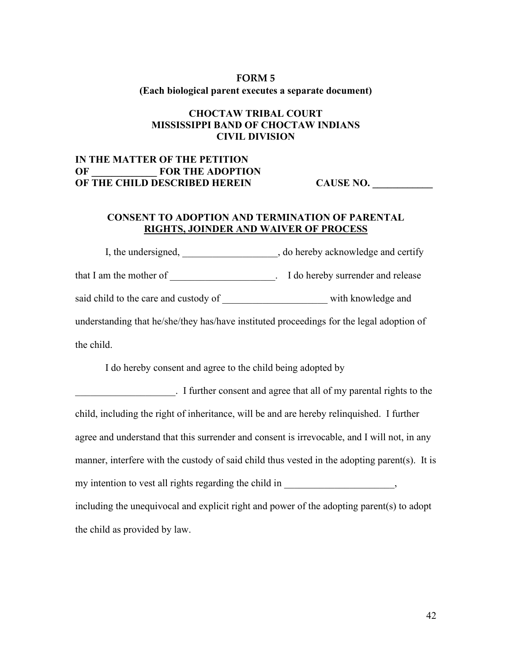# **FORM 5 (Each biological parent executes a separate document)**

# **CHOCTAW TRIBAL COURT MISSISSIPPI BAND OF CHOCTAW INDIANS CIVIL DIVISION**

# **IN THE MATTER OF THE PETITION OF \_\_\_\_\_\_\_\_\_\_\_\_\_ FOR THE ADOPTION OF THE CHILD DESCRIBED HEREIN CAUSE NO.**

# **CONSENT TO ADOPTION AND TERMINATION OF PARENTAL RIGHTS, JOINDER AND WAIVER OF PROCESS**

I, the undersigned,  $\qquad \qquad$ , do hereby acknowledge and certify that I am the mother of \_\_\_\_\_\_\_\_\_\_\_\_\_\_\_\_\_\_\_\_\_\_. I do hereby surrender and release said child to the care and custody of with knowledge and understanding that he/she/they has/have instituted proceedings for the legal adoption of the child.

I do hereby consent and agree to the child being adopted by

\_\_\_\_\_\_\_\_\_\_\_\_\_\_\_\_\_\_\_\_. I further consent and agree that all of my parental rights to the child, including the right of inheritance, will be and are hereby relinquished. I further agree and understand that this surrender and consent is irrevocable, and I will not, in any manner, interfere with the custody of said child thus vested in the adopting parent(s). It is my intention to vest all rights regarding the child in \_\_\_\_\_\_\_\_\_\_\_\_\_\_\_\_\_\_\_, including the unequivocal and explicit right and power of the adopting parent(s) to adopt the child as provided by law.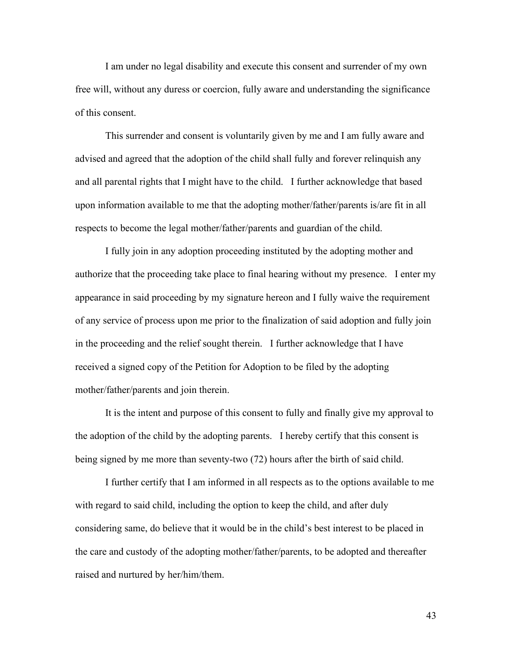I am under no legal disability and execute this consent and surrender of my own free will, without any duress or coercion, fully aware and understanding the significance of this consent.

This surrender and consent is voluntarily given by me and I am fully aware and advised and agreed that the adoption of the child shall fully and forever relinquish any and all parental rights that I might have to the child. I further acknowledge that based upon information available to me that the adopting mother/father/parents is/are fit in all respects to become the legal mother/father/parents and guardian of the child.

I fully join in any adoption proceeding instituted by the adopting mother and authorize that the proceeding take place to final hearing without my presence. I enter my appearance in said proceeding by my signature hereon and I fully waive the requirement of any service of process upon me prior to the finalization of said adoption and fully join in the proceeding and the relief sought therein. I further acknowledge that I have received a signed copy of the Petition for Adoption to be filed by the adopting mother/father/parents and join therein.

It is the intent and purpose of this consent to fully and finally give my approval to the adoption of the child by the adopting parents. I hereby certify that this consent is being signed by me more than seventy-two (72) hours after the birth of said child.

I further certify that I am informed in all respects as to the options available to me with regard to said child, including the option to keep the child, and after duly considering same, do believe that it would be in the child's best interest to be placed in the care and custody of the adopting mother/father/parents, to be adopted and thereafter raised and nurtured by her/him/them.

43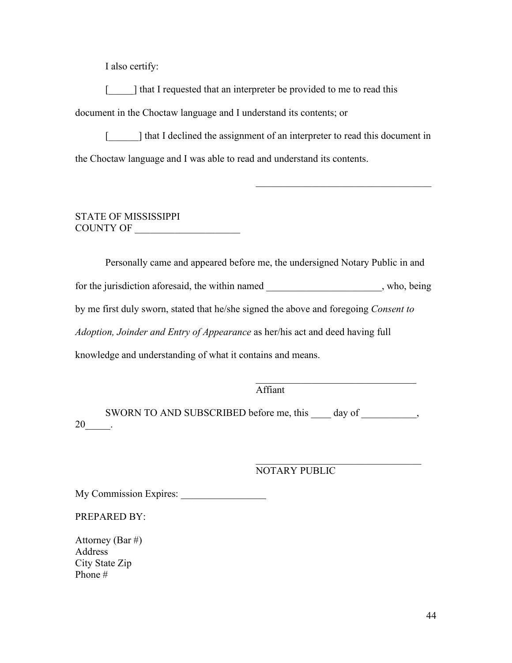I also certify:

[iddots] that I requested that an interpreter be provided to me to read this

document in the Choctaw language and I understand its contents; or

[iddots is a left in the line of an interpreter to read this document in  $\mathbb{R}$ the Choctaw language and I was able to read and understand its contents.

 $\mathcal{L}_\mathcal{L}$  , where  $\mathcal{L}_\mathcal{L}$  , we are the set of the set of the set of the set of the set of the set of the set of the set of the set of the set of the set of the set of the set of the set of the set of the set o

# STATE OF MISSISSIPPI COUNTY OF

Personally came and appeared before me, the undersigned Notary Public in and for the jurisdiction aforesaid, the within named with subset who, being by me first duly sworn, stated that he/she signed the above and foregoing *Consent to Adoption, Joinder and Entry of Appearance* as her/his act and deed having full knowledge and understanding of what it contains and means.

Affiant

SWORN TO AND SUBSCRIBED before me, this day of \_\_\_\_\_\_\_\_\_,  $20$ \_\_\_\_\_\_.

NOTARY PUBLIC

 $\mathcal{L}_\mathcal{L}$  , where  $\mathcal{L}_\mathcal{L}$  , we are the set of the set of the set of the set of the set of the set of the set of the set of the set of the set of the set of the set of the set of the set of the set of the set o

My Commission Expires: \_\_\_\_\_\_\_\_\_\_\_\_\_\_\_\_\_

PREPARED BY:

Attorney (Bar #) Address City State Zip Phone #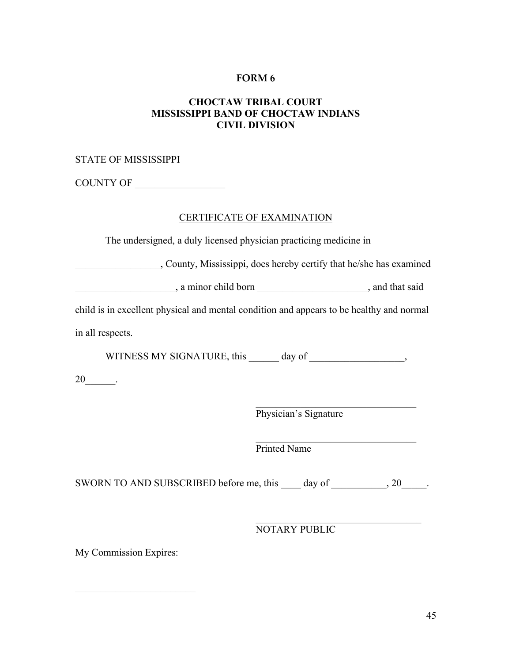# **CHOCTAW TRIBAL COURT MISSISSIPPI BAND OF CHOCTAW INDIANS CIVIL DIVISION**

# STATE OF MISSISSIPPI

COUNTY OF \_\_\_\_\_\_\_\_\_\_\_\_\_\_\_\_\_\_

# CERTIFICATE OF EXAMINATION

The undersigned, a duly licensed physician practicing medicine in

\_\_\_\_\_\_\_\_\_\_\_\_\_\_\_\_\_, County, Mississippi, does hereby certify that he/she has examined

\_\_\_\_\_\_\_\_\_\_\_\_\_\_\_\_\_\_\_\_, a minor child born \_\_\_\_\_\_\_\_\_\_\_\_\_\_\_\_\_\_\_\_\_\_, and that said

child is in excellent physical and mental condition and appears to be healthy and normal

in all respects.

WITNESS MY SIGNATURE, this day of  $\qquad \qquad$ ,

20\_\_\_\_\_\_\_\_.

 $\mathcal{L}$  , which is a set of the set of the set of the set of the set of the set of the set of the set of the set of the set of the set of the set of the set of the set of the set of the set of the set of the set of the s Physician's Signature

 $\mathcal{L}=\mathcal{L}=\mathcal{L}=\mathcal{L}=\mathcal{L}=\mathcal{L}=\mathcal{L}=\mathcal{L}=\mathcal{L}=\mathcal{L}=\mathcal{L}=\mathcal{L}=\mathcal{L}=\mathcal{L}=\mathcal{L}=\mathcal{L}=\mathcal{L}=\mathcal{L}=\mathcal{L}=\mathcal{L}=\mathcal{L}=\mathcal{L}=\mathcal{L}=\mathcal{L}=\mathcal{L}=\mathcal{L}=\mathcal{L}=\mathcal{L}=\mathcal{L}=\mathcal{L}=\mathcal{L}=\mathcal{L}=\mathcal{L}=\mathcal{L}=\mathcal{L}=\mathcal{L}=\mathcal{$ Printed Name

SWORN TO AND SUBSCRIBED before me, this day of  $\qquad \qquad , 20$ .

NOTARY PUBLIC

 $\mathcal{L}$  , which is a set of the set of the set of the set of the set of the set of the set of the set of the set of the set of the set of the set of the set of the set of the set of the set of the set of the set of the s

My Commission Expires:

 $\overline{\phantom{a}}$  , which is a set of the set of the set of the set of the set of the set of the set of the set of the set of the set of the set of the set of the set of the set of the set of the set of the set of the set of th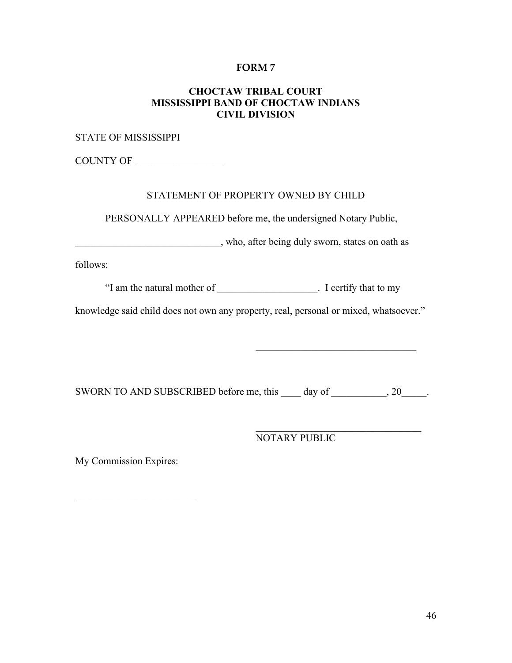# **CHOCTAW TRIBAL COURT MISSISSIPPI BAND OF CHOCTAW INDIANS CIVIL DIVISION**

STATE OF MISSISSIPPI

COUNTY OF

#### STATEMENT OF PROPERTY OWNED BY CHILD

PERSONALLY APPEARED before me, the undersigned Notary Public,

\_\_\_\_\_\_\_\_\_\_\_\_\_\_\_\_\_\_\_\_\_\_\_\_\_\_\_\_\_, who, after being duly sworn, states on oath as

follows:

"I am the natural mother of \_\_\_\_\_\_\_\_\_\_\_\_\_\_\_\_\_\_\_\_. I certify that to my

knowledge said child does not own any property, real, personal or mixed, whatsoever."

SWORN TO AND SUBSCRIBED before me, this day of  $\qquad \qquad , 20$ .

NOTARY PUBLIC

 $\mathcal{L}_\mathcal{L}$  , where  $\mathcal{L}_\mathcal{L}$  , we are the set of the set of the set of the set of the set of the set of the set of the set of the set of the set of the set of the set of the set of the set of the set of the set o

My Commission Expires:

\_\_\_\_\_\_\_\_\_\_\_\_\_\_\_\_\_\_\_\_\_\_\_\_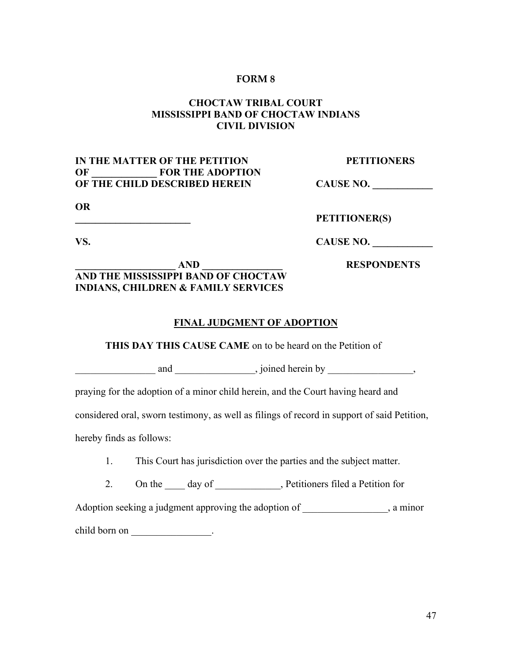# **CHOCTAW TRIBAL COURT MISSISSIPPI BAND OF CHOCTAW INDIANS CIVIL DIVISION**

# **IN THE MATTER OF THE PETITION PETITIONERS OF \_\_\_\_\_\_\_\_\_\_\_\_\_ FOR THE ADOPTION OF THE CHILD DESCRIBED HEREIN CAUSE NO.**

**OR**

**\_\_\_\_\_\_\_\_\_\_\_\_\_\_\_\_\_\_\_\_\_\_\_ PETITIONER(S)**

**VS. CAUSE NO.** 

# **\_\_\_\_\_\_\_\_\_\_\_\_\_\_\_\_\_\_\_\_ AND \_\_\_\_\_\_\_\_\_\_\_\_\_\_\_\_ RESPONDENTS AND THE MISSISSIPPI BAND OF CHOCTAW INDIANS, CHILDREN & FAMILY SERVICES**

#### **FINAL JUDGMENT OF ADOPTION**

**THIS DAY THIS CAUSE CAME** on to be heard on the Petition of

| and | oined<br>hv<br>erein<br>. |
|-----|---------------------------|
|-----|---------------------------|

praying for the adoption of a minor child herein, and the Court having heard and

considered oral, sworn testimony, as well as filings of record in support of said Petition,

hereby finds as follows:

1. This Court has jurisdiction over the parties and the subject matter.

2. On the day of Petitioners filed a Petition for

Adoption seeking a judgment approving the adoption of  $\qquad \qquad$ , a minor

child born on \_\_\_\_\_\_\_\_\_\_\_\_\_\_\_\_\_\_.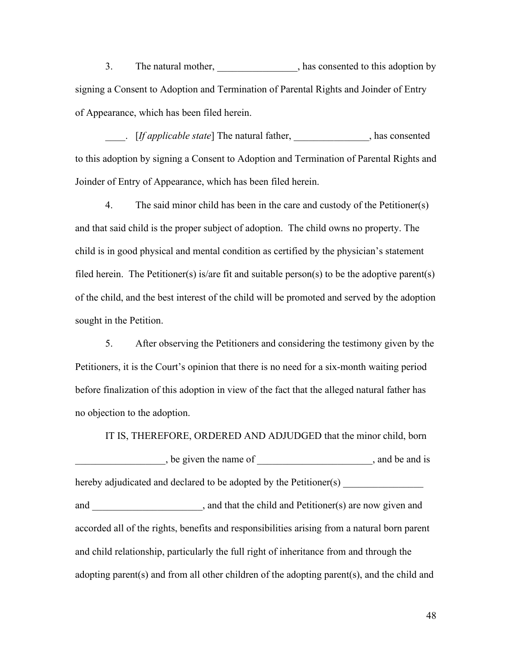3. The natural mother, has consented to this adoption by signing a Consent to Adoption and Termination of Parental Rights and Joinder of Entry of Appearance, which has been filed herein.

\_\_\_\_. [*If applicable state*] The natural father, \_\_\_\_\_\_\_\_\_\_\_\_\_\_\_, has consented to this adoption by signing a Consent to Adoption and Termination of Parental Rights and Joinder of Entry of Appearance, which has been filed herein.

4. The said minor child has been in the care and custody of the Petitioner(s) and that said child is the proper subject of adoption. The child owns no property. The child is in good physical and mental condition as certified by the physician's statement filed herein. The Petitioner(s) is/are fit and suitable person(s) to be the adoptive parent(s) of the child, and the best interest of the child will be promoted and served by the adoption sought in the Petition.

5. After observing the Petitioners and considering the testimony given by the Petitioners, it is the Court's opinion that there is no need for a six-month waiting period before finalization of this adoption in view of the fact that the alleged natural father has no objection to the adoption.

IT IS, THEREFORE, ORDERED AND ADJUDGED that the minor child, born , be given the name of  $\Box$ , and be and is hereby adjudicated and declared to be adopted by the Petitioner(s) and \_\_\_\_\_\_\_\_\_\_\_\_\_\_\_\_\_\_, and that the child and Petitioner(s) are now given and accorded all of the rights, benefits and responsibilities arising from a natural born parent and child relationship, particularly the full right of inheritance from and through the adopting parent(s) and from all other children of the adopting parent(s), and the child and

48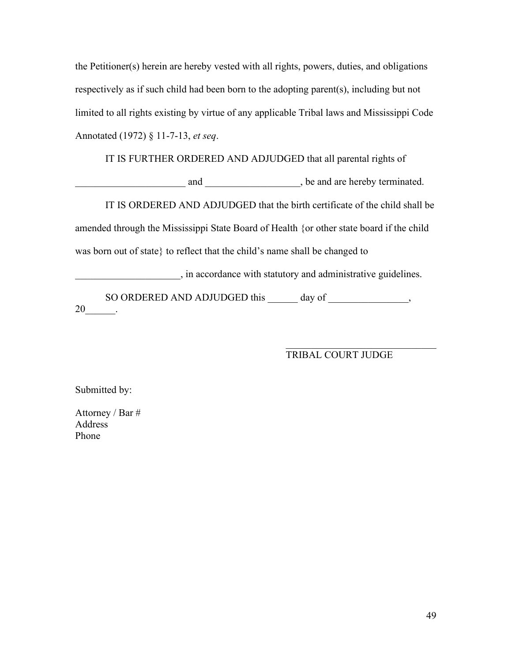the Petitioner(s) herein are hereby vested with all rights, powers, duties, and obligations respectively as if such child had been born to the adopting parent(s), including but not limited to all rights existing by virtue of any applicable Tribal laws and Mississippi Code Annotated (1972) § 11-7-13, *et seq*.

IT IS FURTHER ORDERED AND ADJUDGED that all parental rights of

example and  $\Box$  and  $\Box$  be and are hereby terminated.

IT IS ORDERED AND ADJUDGED that the birth certificate of the child shall be amended through the Mississippi State Board of Health {or other state board if the child was born out of state} to reflect that the child's name shall be changed to

\_\_\_\_\_\_\_\_\_\_\_\_\_\_\_\_\_\_\_\_\_, in accordance with statutory and administrative guidelines.

SO ORDERED AND ADJUDGED this \_\_\_\_\_\_ day of \_\_\_\_\_\_\_\_\_\_\_\_\_\_,  $20$  .

#### TRIBAL COURT JUDGE

\_\_\_\_\_\_\_\_\_\_\_\_\_\_\_\_\_\_\_\_\_\_\_\_\_\_\_\_\_\_

Submitted by:

Attorney / Bar # **Address** Phone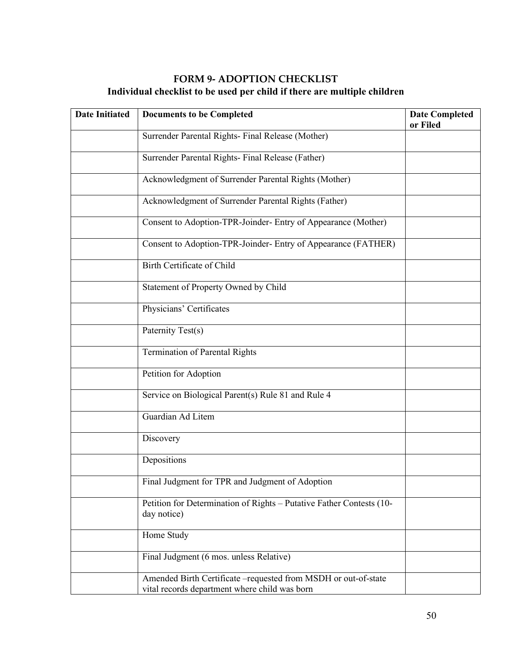# **FORM 9- ADOPTION CHECKLIST Individual checklist to be used per child if there are multiple children**

| <b>Date Initiated</b> | <b>Documents to be Completed</b>                                                                                 | <b>Date Completed</b><br>or Filed |
|-----------------------|------------------------------------------------------------------------------------------------------------------|-----------------------------------|
|                       | Surrender Parental Rights- Final Release (Mother)                                                                |                                   |
|                       | Surrender Parental Rights- Final Release (Father)                                                                |                                   |
|                       | Acknowledgment of Surrender Parental Rights (Mother)                                                             |                                   |
|                       | Acknowledgment of Surrender Parental Rights (Father)                                                             |                                   |
|                       | Consent to Adoption-TPR-Joinder- Entry of Appearance (Mother)                                                    |                                   |
|                       | Consent to Adoption-TPR-Joinder- Entry of Appearance (FATHER)                                                    |                                   |
|                       | Birth Certificate of Child                                                                                       |                                   |
|                       | Statement of Property Owned by Child                                                                             |                                   |
|                       | Physicians' Certificates                                                                                         |                                   |
|                       | Paternity Test(s)                                                                                                |                                   |
|                       | <b>Termination of Parental Rights</b>                                                                            |                                   |
|                       | Petition for Adoption                                                                                            |                                   |
|                       | Service on Biological Parent(s) Rule 81 and Rule 4                                                               |                                   |
|                       | Guardian Ad Litem                                                                                                |                                   |
|                       | Discovery                                                                                                        |                                   |
|                       | Depositions                                                                                                      |                                   |
|                       | Final Judgment for TPR and Judgment of Adoption                                                                  |                                   |
|                       | Petition for Determination of Rights - Putative Father Contests (10-<br>day notice)                              |                                   |
|                       | Home Study                                                                                                       |                                   |
|                       | Final Judgment (6 mos. unless Relative)                                                                          |                                   |
|                       | Amended Birth Certificate - requested from MSDH or out-of-state<br>vital records department where child was born |                                   |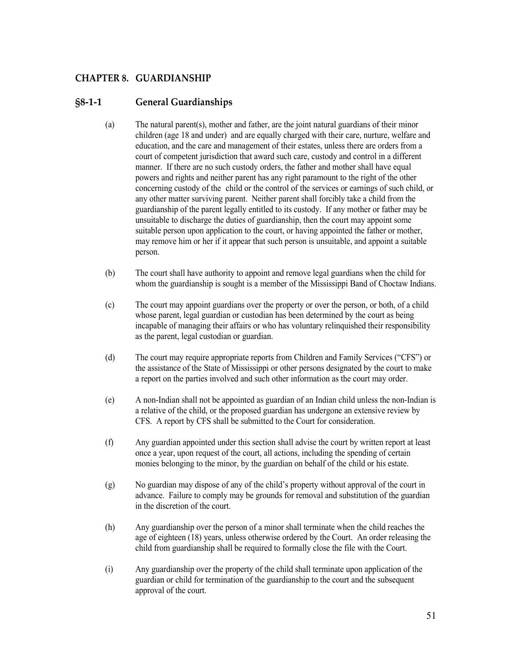# <span id="page-50-0"></span>**CHAPTER 8. GUARDIANSHIP**

# <span id="page-50-1"></span>**§8-1-1 General Guardianships**

- (a) The natural parent(s), mother and father, are the joint natural guardians of their minor children (age 18 and under) and are equally charged with their care, nurture, welfare and education, and the care and management of their estates, unless there are orders from a court of competent jurisdiction that award such care, custody and control in a different manner. If there are no such custody orders, the father and mother shall have equal powers and rights and neither parent has any right paramount to the right of the other concerning custody of the child or the control of the services or earnings of such child, or any other matter surviving parent. Neither parent shall forcibly take a child from the guardianship of the parent legally entitled to its custody. If any mother or father may be unsuitable to discharge the duties of guardianship, then the court may appoint some suitable person upon application to the court, or having appointed the father or mother, may remove him or her if it appear that such person is unsuitable, and appoint a suitable person.
- (b) The court shall have authority to appoint and remove legal guardians when the child for whom the guardianship is sought is a member of the Mississippi Band of Choctaw Indians.
- (c) The court may appoint guardians over the property or over the person, or both, of a child whose parent, legal guardian or custodian has been determined by the court as being incapable of managing their affairs or who has voluntary relinquished their responsibility as the parent, legal custodian or guardian.
- (d) The court may require appropriate reports from Children and Family Services ("CFS") or the assistance of the State of Mississippi or other persons designated by the court to make a report on the parties involved and such other information as the court may order.
- (e) A non-Indian shall not be appointed as guardian of an Indian child unless the non-Indian is a relative of the child, or the proposed guardian has undergone an extensive review by CFS. A report by CFS shall be submitted to the Court for consideration.
- (f) Any guardian appointed under this section shall advise the court by written report at least once a year, upon request of the court, all actions, including the spending of certain monies belonging to the minor, by the guardian on behalf of the child or his estate.
- (g) No guardian may dispose of any of the child's property without approval of the court in advance. Failure to comply may be grounds for removal and substitution of the guardian in the discretion of the court.
- (h) Any guardianship over the person of a minor shall terminate when the child reaches the age of eighteen (18) years, unless otherwise ordered by the Court. An order releasing the child from guardianship shall be required to formally close the file with the Court.
- (i) Any guardianship over the property of the child shall terminate upon application of the guardian or child for termination of the guardianship to the court and the subsequent approval of the court.